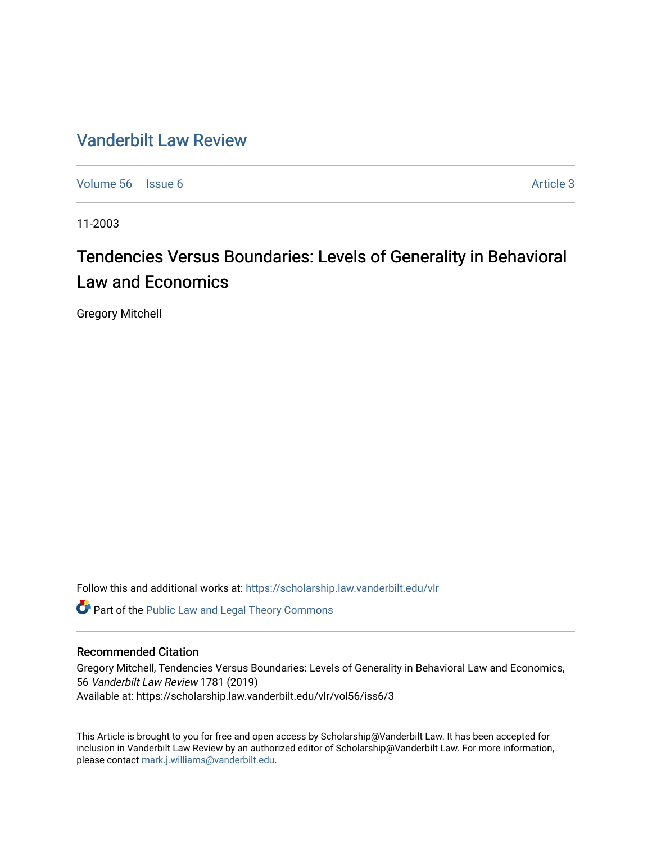### [Vanderbilt Law Review](https://scholarship.law.vanderbilt.edu/vlr)

[Volume 56](https://scholarship.law.vanderbilt.edu/vlr/vol56) Setsual and Setsual and Setsual and Setsual and Setsual and Setsual and Setsual Article 3

11-2003

# Tendencies Versus Boundaries: Levels of Generality in Behavioral Law and Economics

Gregory Mitchell

Follow this and additional works at: [https://scholarship.law.vanderbilt.edu/vlr](https://scholarship.law.vanderbilt.edu/vlr?utm_source=scholarship.law.vanderbilt.edu%2Fvlr%2Fvol56%2Fiss6%2F3&utm_medium=PDF&utm_campaign=PDFCoverPages)

Part of the [Public Law and Legal Theory Commons](http://network.bepress.com/hgg/discipline/871?utm_source=scholarship.law.vanderbilt.edu%2Fvlr%2Fvol56%2Fiss6%2F3&utm_medium=PDF&utm_campaign=PDFCoverPages) 

### Recommended Citation

Gregory Mitchell, Tendencies Versus Boundaries: Levels of Generality in Behavioral Law and Economics, 56 Vanderbilt Law Review 1781 (2019) Available at: https://scholarship.law.vanderbilt.edu/vlr/vol56/iss6/3

This Article is brought to you for free and open access by Scholarship@Vanderbilt Law. It has been accepted for inclusion in Vanderbilt Law Review by an authorized editor of Scholarship@Vanderbilt Law. For more information, please contact [mark.j.williams@vanderbilt.edu.](mailto:mark.j.williams@vanderbilt.edu)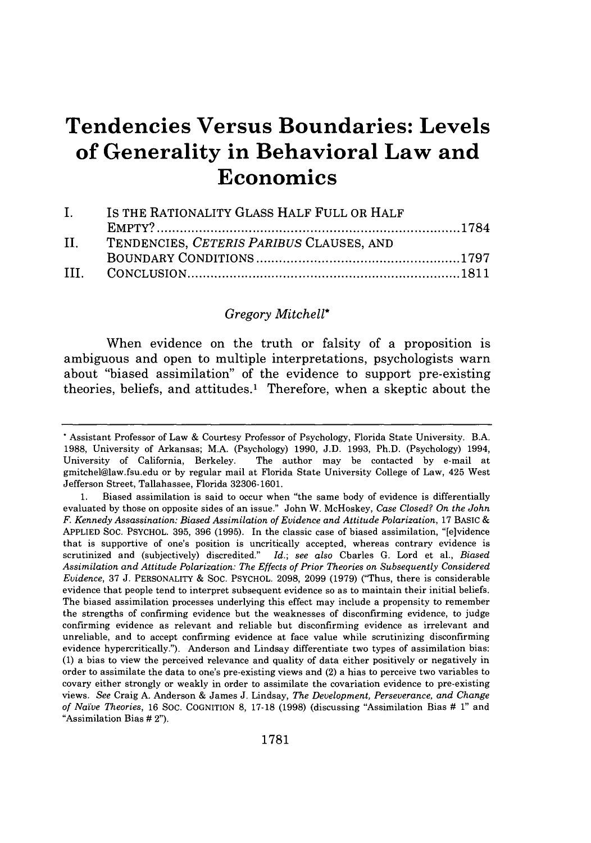# **Tendencies Versus Boundaries: Levels of Generality in Behavioral Law and Economics**

| $\mathbf{I}$ . | IS THE RATIONALITY GLASS HALF FULL OR HALF |  |  |
|----------------|--------------------------------------------|--|--|
|                |                                            |  |  |
| II.            | TENDENCIES, CETERIS PARIBUS CLAUSES, AND   |  |  |
|                |                                            |  |  |
|                |                                            |  |  |

### *Gregory Mitchell\**

When evidence on the truth or falsity of a proposition is ambiguous and open to multiple interpretations, psychologists warn about "biased assimilation" of the evidence to support pre-existing theories, beliefs, and attitudes.1 Therefore, when a skeptic about the

**<sup>\*</sup>** Assistant Professor of Law & Courtesy Professor of Psychology, Florida State University. B.A. 1988, University of Arkansas; M.A. (Psychology) 1990, J.D. 1993, Ph.D. (Psychology) 1994, University of California, Berkeley. The author may be contacted by e-mail at gmitchel@law.fsu.edu or by regular mail at Florida State University College of Law, 425 West Jefferson Street, Tallahassee, Florida 32306-1601.

<sup>1.</sup> Biased assimilation is said to occur when "the same body of evidence is differentially evaluated by those on opposite sides of an issue." John W. McHoskey, *Case Closed? On the John F. Kennedy Assassination: Biased Assimilation of Evidence and Attitude Polarization,* 17 BASIC & APPLIED SOC. PSYCHOL. 395, 396 (1995). In the classic case of biased assimilation, "[e]vidence that is supportive of one's position is uncritically accepted, whereas contrary evidence is scrutinized and (subjectively) discredited." *Id.; see also* Charles G. Lord et al., *Biased Assimilation and Attitude Polarization: The Effects of Prior Theories on Subsequently Considered Evidence,* 37 J. PERSONALITY & SOC. PSYCHOL. 2098, **2099** (1979) ("Thus, there is considerable evidence that people tend to interpret subsequent evidence so as to maintain their initial beliefs. The biased assimilation processes underlying this effect may include a propensity to remember the strengths of confirming evidence but the weaknesses of disconfirming evidence, to judge confirming evidence as relevant and reliable but disconfirming evidence as irrelevant and unreliable, and to accept confirming evidence at face value while scrutinizing disconfirming evidence hypercritically."). Anderson and Lindsay differentiate two types of assimilation bias: (1) a bias to view the perceived relevance and quality of data either positively or negatively in order to assimilate the data to one's pre-existing views and (2) a bias to perceive two variables to covary either strongly or weakly in order to assimilate the covariation evidence to pre-existing views. See Craig A. Anderson & James J. Lindsay, *The Development, Perseverance, and Change of Naive Theories,* 16 SOC. COGNITION **8,** 17-18 (1998) (discussing "Assimilation Bias **#** 1" and "Assimilation Bias **#** 2").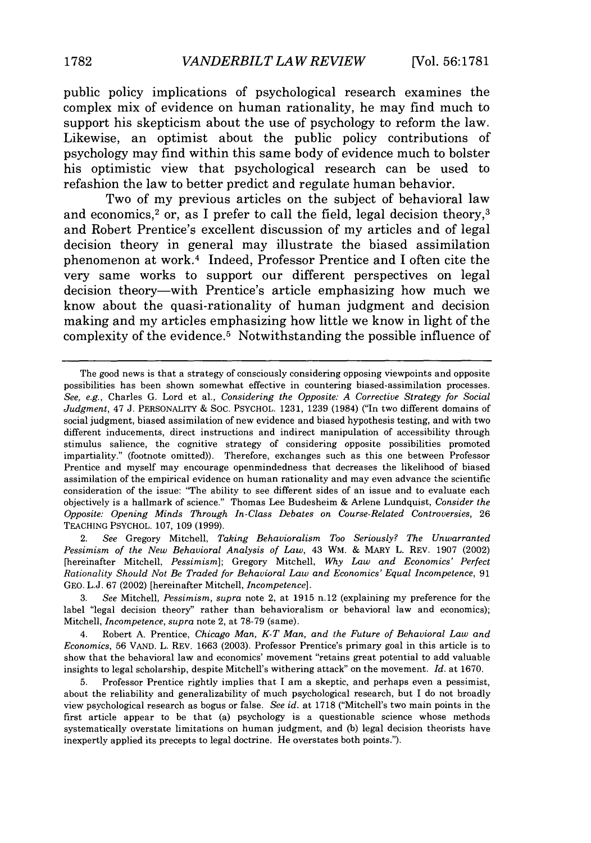public policy implications of psychological research examines the complex mix of evidence on human rationality, he may find much to support his skepticism about the use of psychology to reform the law. Likewise, an optimist about the public policy contributions of psychology may find within this same body of evidence much to bolster his optimistic view that psychological research can be used to refashion the law to better predict and regulate human behavior.

Two of my previous articles on the subject of behavioral law and economics,<sup>2</sup> or, as I prefer to call the field, legal decision theory,<sup>3</sup> and Robert Prentice's excellent discussion of my articles and of legal decision theory in general may illustrate the biased assimilation phenomenon at work.<sup>4</sup> Indeed, Professor Prentice and I often cite the very same works to support our different perspectives on legal decision theory-with Prentice's article emphasizing how much we know about the quasi-rationality of human judgment and decision making and my articles emphasizing how little we know in light of the complexity of the evidence.<sup>5</sup> Notwithstanding the possible influence of

2. *See* Gregory Mitchell, *Taking Behavioralism Too Seriously? The Unwarranted Pessimism of the New Behavioral Analysis of Law,* 43 WM. & MARY L. REV. 1907 (2002) [hereinafter Mitchell, *Pessimism];* Gregory Mitchell, *Why Law and Economics' Perfect Rationality Should Not* Be *Traded for Behavioral Law and Economics' Equal Incompetence,* 91 GEO. L.J. 67 (2002) [hereinafter Mitchell, *Incompetence].*

3. See Mitchell, *Pessimism, supra* note 2, at 1915 n.12 (explaining my preference for the label "legal decision theory" rather than behavioralism or behavioral law and economics); Mitchell, Incompetence, *supra* note 2, at 78-79 (same).

4. Robert A. Prentice, *Chicago Man, K-T Man, and the Future of Behavioral Law and Economics,* 56 VAND. L. REV. 1663 (2003). Professor Prentice's primary goal in this article is to show that the behavioral law and economics' movement "retains great potential to add valuable insights to legal scholarship, despite Mitchell's withering attack" on the movement. *Id.* at 1670.

5. Professor Prentice rightly implies that I am a skeptic, and perhaps even a pessimist, about the reliability and generalizability of much psychological research, but I do not broadly view psychological research as bogus or false. *See id.* at 1718 ("Mitchell's two main points in the first article appear to be that (a) psychology is a questionable science whose methods systematically overstate limitations on human judgment, and (b) legal decision theorists have inexpertly applied its precepts to legal doctrine. He overstates both points.").

The good news is that a strategy of consciously considering opposing viewpoints and opposite possibilities has been shown somewhat effective in countering biased-assimilation processes. *See, e.g.,* Charles G. Lord et al., *Considering the Opposite: A Corrective Strategy for Social Judgment,* 47 J. PERSONALITY & SOC. PSYCHOL. 1231, 1239 (1984) ("In two different domains of social judgment, biased assimilation of new evidence and biased hypothesis testing, and with two different inducements, direct instructions and indirect manipulation of accessibility through stimulus salience, the cognitive strategy of considering opposite possibilities promoted impartiality." (footnote omitted)). Therefore, exchanges such as this one between Professor Prentice and myself may encourage openmindedness that decreases the likelihood of biased assimilation of the empirical evidence on human rationality and may even advance the scientific consideration of the issue: "The ability to see different sides of an issue and to evaluate each objectively is a hallmark of science." Thomas Lee Budesheim & Arlene Lundquist, *Consider the Opposite: Opening Minds Through In-Class Debates on Course-Related Controversies,* 26 TEACHING PSYCHOL. 107, 109 (1999).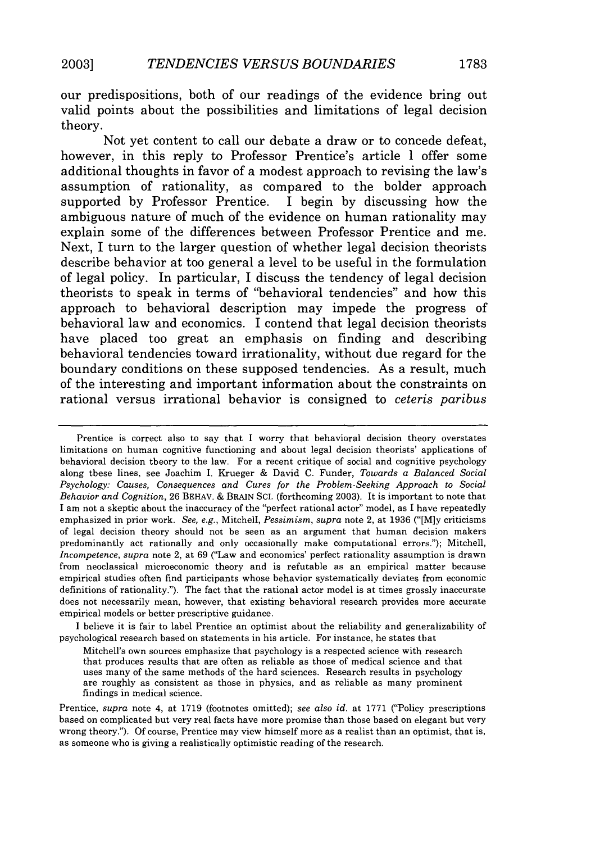our predispositions, both of our readings of the evidence bring out valid points about the possibilities and limitations of legal decision theory.

Not yet content to call our debate a draw or to concede defeat, however, in this reply to Professor Prentice's article I offer some additional thoughts in favor of a modest approach to revising the law's assumption of rationality, as compared to the bolder approach supported by Professor Prentice. I begin by discussing how the ambiguous nature of much of the evidence on human rationality may explain some of the differences between Professor Prentice and me. Next, I turn to the larger question of whether legal decision theorists describe behavior at too general a level to be useful in the formulation of legal policy. In particular, I discuss the tendency of legal decision theorists to speak in terms of "behavioral tendencies" and how this approach to behavioral description may impede the progress of behavioral law and economics. I contend that legal decision theorists have placed too great an emphasis on finding and describing behavioral tendencies toward irrationality, without due regard for the boundary conditions on these supposed tendencies. As a result, much of the interesting and important information about the constraints on rational versus irrational behavior is consigned to *ceteris paribus*

Prentice is correct also to say that I worry that behavioral decision theory overstates limitations on human cognitive functioning and about legal decision theorists' applications of behavioral decision theory to the law. For a recent critique of social and cognitive psychology along these lines, see Joachim I. Krueger & David C. Funder, *Towards a Balanced Social Psychology: Causes, Consequences and Cures for the Problem-Seeking Approach to Social Behavior and Cognition,* 26 BEHAV. & BRAIN SCI. (forthcoming 2003). It is important to note that I am not a skeptic about the inaccuracy of the "perfect rational actor" model, as I have repeatedly emphasized in prior work. *See, e.g.,* Mitchell, *Pessimism, supra* note 2, at 1936 ("[M]y criticisms of legal decision theory should not be seen as an argument that human decision makers predominantly act rationally and only occasionally make computational errors."); Mitchell, *Incompetence, supra* note 2, at 69 ("Law and economics' perfect rationality assumption is drawn from neoclassical microeconomic theory and is refutable as an empirical matter because empirical studies often find participants whose behavior systematically deviates from economic definitions of rationality."). The fact that the rational actor model is at times grossly inaccurate does not necessarily mean, however, that existing behavioral research provides more accurate empirical models or better prescriptive guidance.

I believe it is fair to label Prentice an optimist about the reliability and generalizability of psychological research based on statements in his article. For instance, he states that

Mitchell's own sources emphasize that psychology is a respected science with research that produces results that are often as reliable as those of medical science and that uses many of the same methods of the hard sciences. Research results in psychology are roughly as consistent as those in physics, and as reliable as many prominent findings in medical science.

Prentice, *supra* note 4, at 1719 (footnotes omitted); *see also id.* at 1771 ("Policy prescriptions based on complicated but very real facts have more promise than those based on elegant but very wrong theory."). Of course, Prentice may view himself more as a realist than an optimist, that is, as someone who is giving a realistically optimistic reading of the research.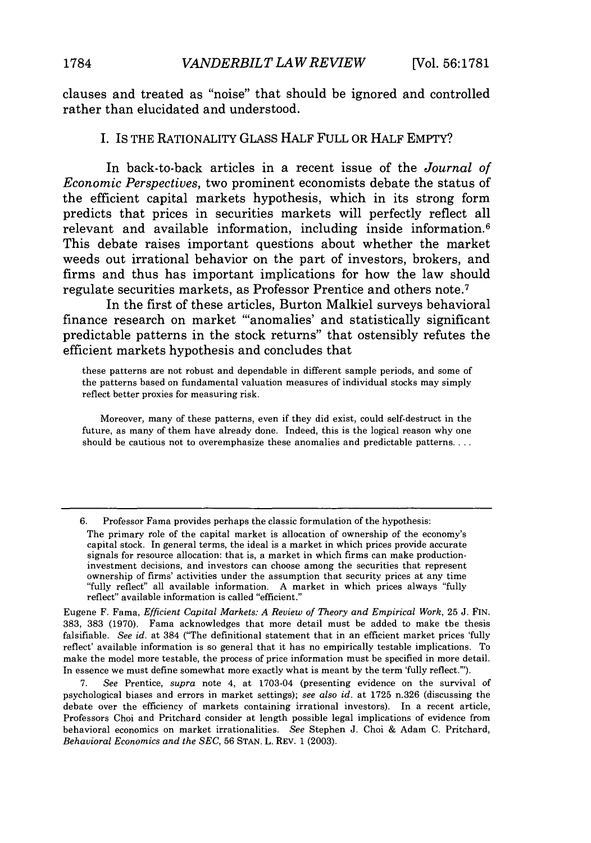clauses and treated as "noise" that should be ignored and controlled rather than elucidated and understood.

#### I. IS THE RATIONALITY GLASS HALF FULL OR HALF EMPTY?

In back-to-back articles in a recent issue of the *Journal of Economic Perspectives,* two prominent economists debate the status of the efficient capital markets hypothesis, which in its strong form predicts that prices in securities markets will perfectly reflect all relevant and available information, including inside information.<sup>6</sup> This debate raises important questions about whether the market weeds out irrational behavior on the part of investors, brokers, and firms and thus has important implications for how the law should regulate securities markets, as Professor Prentice and others note. <sup>7</sup>

In the first of these articles, Burton Malkiel surveys behavioral finance research on market "anomalies' and statistically significant predictable patterns in the stock returns" that ostensibly refutes the efficient markets hypothesis and concludes that

these patterns are not robust and dependable in different sample periods, and some of the patterns based on fundamental valuation measures of individual stocks may simply reflect better proxies for measuring risk.

Moreover, many of these patterns, even if they did exist, could self-destruct in the future, as many of them have already done. Indeed, this is the logical reason why one should be cautious not to overemphasize these anomalies and predictable patterns....

6. Professor Fama provides perhaps the classic formulation of the hypothesis:

Eugene F. Fama, *Efficient Capital Markets: A Review of Theory and Empirical Work*, 25 J. FIN. 383, 383 (1970). Fama acknowledges that more detail must be added to make the thesis falsifiable. *See id.* at 384 ("The definitional statement that in an efficient market prices 'fully reflect' available information is so general that it has no empirically testable implications. To make the model more testable, the process of price information must be specified in more detail. In essence we must define somewhat more exactly what is meant by the term 'fully reflect."').

7. *See* Prentice, *supra* note 4, at 1703-04 (presenting evidence on the survival of psychological biases and errors in market settings); *see also id.* at 1725 n.326 (discussing the debate over the efficiency of markets containing irrational investors). In a recent article, Professors Choi and Pritchard consider at length possible legal implications of evidence from behavioral economics on market irrationalities. *See* Stephen J. Choi & Adam C. Pritchard, *Behavioral Economics and the SEC,* 56 STAN. L. REV. 1 (2003).

The primary role of the capital market is allocation of ownership of the economy's capital stock. In general terms, the ideal is a market in which prices provide accurate signals for resource allocation: that is, a market in which firms can make productioninvestment decisions, and investors can choose among the securities that represent ownership of firms' activities under the assumption that security prices at any time "fully reflect" all available information. A market in which prices always "fully reflect" available information is called "efficient."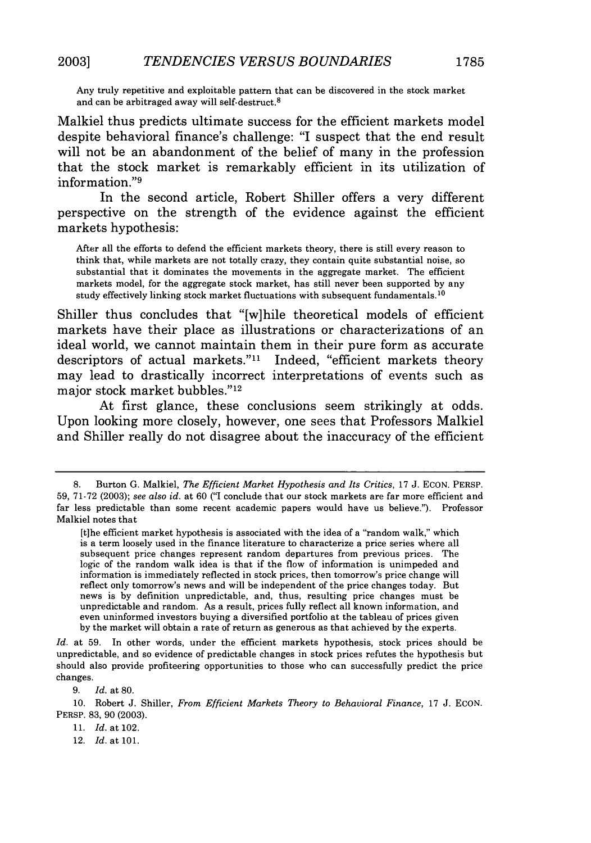Any truly repetitive and exploitable pattern that can be discovered in the stock market and can be arbitraged away will self-destruct.8

Malkiel thus predicts ultimate success for the efficient markets model despite behavioral finance's challenge: "I suspect that the end result will not be an abandonment of the belief of many in the profession that the stock market is remarkably efficient in its utilization of information."9

In the second article, Robert Shiller offers a very different perspective on the strength of the evidence against the efficient markets hypothesis:

After all the efforts to defend the efficient markets theory, there is still every reason to think that, while markets are not totally crazy, they contain quite substantial noise, so substantial that it dominates the movements in the aggregate market. The efficient markets model, for the aggregate stock market, has still never been supported by any study effectively linking stock market fluctuations with subsequent fundamentals.<sup>10</sup>

Shiller thus concludes that "[w]hile theoretical models of efficient markets have their place as illustrations or characterizations of an ideal world, we cannot maintain them in their pure form as accurate descriptors of actual markets."<sup>11</sup> Indeed, "efficient markets theory may lead to drastically incorrect interpretations of events such as major stock market bubbles."<sup>12</sup>

At first glance, these conclusions seem strikingly at odds. Upon looking more closely, however, one sees that Professors Malkiel and Shiller really do not disagree about the inaccuracy of the efficient

9. *Id.* at 80.

10. Robert J. Shiller, *From Efficient Markets Theory to Behavioral Finance,* 17 J. ECON. PERSP. 83, 90 (2003).

11. Id. at 102.

12. *Id.* at 101.

<sup>8.</sup> Burton G. Malkiel, *The Efficient Market Hypothesis and Its Critics*, 17 J. ECON. PERSP. 59, 71-72 (2003); *see also id.* at 60 ("I conclude that our stock markets are far more efficient and far less predictable than some recent academic papers would have us believe."). Professor Malkiel notes that

<sup>[</sup>t]he efficient market hypothesis is associated with the idea of a "random walk," which is a term loosely used in the finance literature to characterize a price series where all subsequent price changes represent random departures from previous prices. The logic of the random walk idea is that if the flow of information is unimpeded and information is immediately reflected in stock prices, then tomorrow's price change will reflect only tomorrow's news and will be independent of the price changes today. But news is by definition unpredictable, and, thus, resulting price changes must be unpredictable and random. As a result, prices fully reflect all known information, and even uninformed investors buying a diversified portfolio at the tableau of prices given by the market will obtain a rate of return as generous as that achieved by the experts.

*Id.* at 59. In other words, under the efficient markets hypothesis, stock prices should be unpredictable, and so evidence of predictable changes in stock prices refutes the hypothesis but should also provide profiteering opportunities to those who can successfully predict the price changes.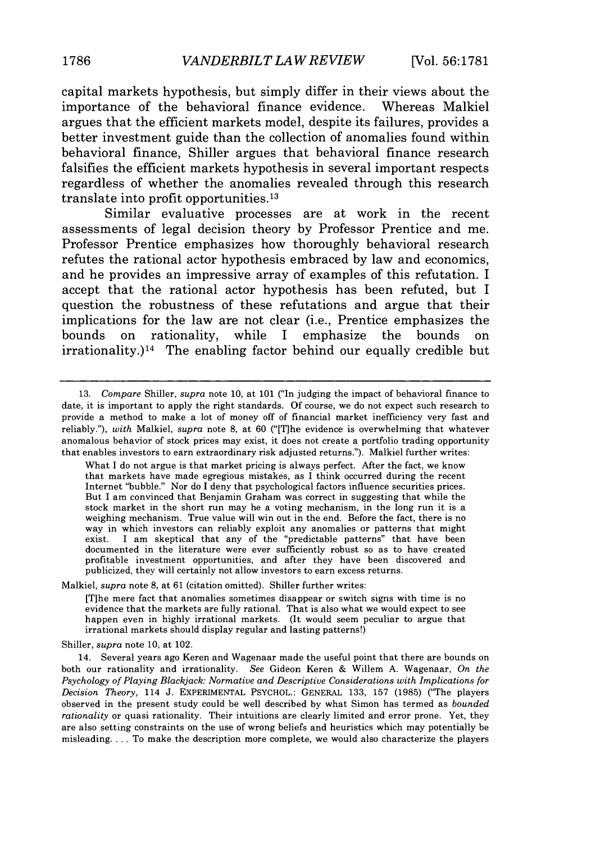capital markets hypothesis, but simply differ in their views about the importance of the behavioral finance evidence. Whereas Malkiel argues that the efficient markets model, despite its failures, provides a better investment guide than the collection of anomalies found within behavioral finance, Shiller argues that behavioral finance research falsifies the efficient markets hypothesis in several important respects regardless of whether the anomalies revealed through this research translate into profit opportunities.13

Similar evaluative processes are at work in the recent assessments of legal decision theory **by** Professor Prentice and me. Professor Prentice emphasizes how thoroughly behavioral research refutes the rational actor hypothesis embraced **by** law and economics, and he provides an impressive array of examples of this refutation. I accept that the rational actor hypothesis has been refuted, but I question the robustness of these refutations and argue that their implications for the law are not clear (i.e., Prentice emphasizes the bounds on rationality, while I emphasize the bounds on  $irrationality.$ <sup>14</sup> The enabling factor behind our equally credible but

What I do not argue is that market pricing is always perfect. After the fact, we know that markets have made egregious mistakes, as I think occurred during the recent Internet "bubble." Nor do I deny that psychological factors influence securities prices. But I am convinced that Benjamin Graham was correct in suggesting that while the stock market in the short run may be a voting mechanism, in the long run it is a weighing mechanism. True value will win out in the end. Before the fact, there is no way in which investors can reliably exploit any anomalies or patterns that might exist. I am skeptical that any of the "predictable patterns" that have been documented in the literature were ever sufficiently robust so as to have created profitable investment opportunities, and after they have been discovered and publicized, they will certainly not allow investors to earn excess returns.

Malkiel, *supra* note 8, at 61 (citation omitted). Shiller further writes:

[Tihe mere fact that anomalies sometimes disappear or switch signs with time is no evidence that the markets are fully rational. That is also what we would expect to see happen even in highly irrational markets. (It would seem peculiar to argue that irrational markets should display regular and lasting patterns!)

Shiller, *supra* note 10, at 102.

<sup>13.</sup> *Compare* Shiller, *supra* note 10, at 101 ("In judging the impact of behavioral finance to date, it is important to apply the right standards. Of course, we do not expect such research to provide a method to make a lot of money off of financial market inefficiency very fast and reliably."), *with* Malkiel, *supra* note **8,** at 60 ("[T]he evidence is overwhelming that whatever anomalous behavior of stock prices may exist, it does not create a portfolio trading opportunity that enables investors to earn extraordinary risk adjusted returns."). Malkiel further writes:

<sup>14.</sup> Several years ago Keren and Wagenaar made the useful point that there are bounds on both our rationality and irrationality. *See* Gideon Keren & Willem A. Wagenaar, *On the Psychology of Playing Blackjack: Normative and Descriptive Considerations with Implications for Decision Theory,* 114 J. EXPERIMENTAL PSYCHOL.: GENERAL 133, 157 (1985) ("The players observed in the present study could be well described by what Simon has termed as *bounded rationality* or quasi rationality. Their intuitions are clearly limited and error prone. Yet, they are also setting constraints on the use of wrong beliefs and heuristics which may potentially be misleading.... To make the description more complete, we would also characterize the players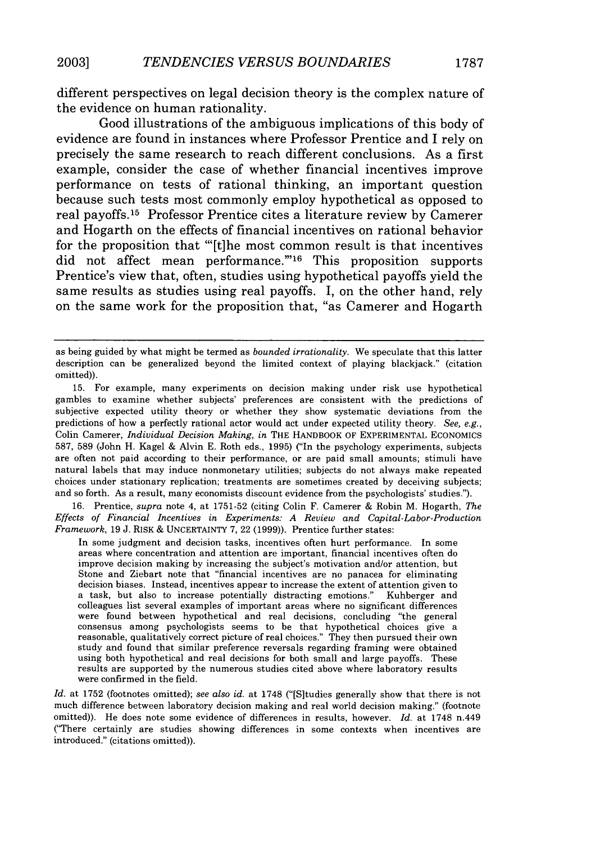different perspectives on legal decision theory is the complex nature of the evidence on human rationality.

Good illustrations of the ambiguous implications of this body of evidence are found in instances where Professor Prentice and I rely on precisely the same research to reach different conclusions. As a first example, consider the case of whether financial incentives improve performance on tests of rational thinking, an important question because such tests most commonly employ hypothetical as opposed to real payoffs. 15 Professor Prentice cites a literature review by Camerer and Hogarth on the effects of financial incentives on rational behavior for the proposition that "[t]he most common result is that incentives did not affect mean performance."<sup>16</sup> This proposition supports Prentice's view that, often, studies using hypothetical payoffs yield the same results as studies using real payoffs. I, on the other hand, rely on the same work for the proposition that, "as Camerer and Hogarth

16. Prentice, *supra* note 4, at 1751-52 (citing Colin F. Camerer & Robin M. Hogarth, *The Effects of Financial Incentives in Experiments: A Review and Capital -Labor-Production Framework,* 19 J. RISK & UNCERTAINTY 7, 22 (1999)). Prentice further states:

In some judgment and decision tasks, incentives often hurt performance. In some areas where concentration and attention are important, financial incentives often do improve decision making by increasing the subject's motivation and/or attention, but Stone and Ziebart note that "financial incentives are no panacea for eliminating decision biases. Instead, incentives appear to increase the extent of attention given to a task, but also to increase potentially distracting emotions." Kuhberger and colleagues list several examples of important areas where no significant differences were found between hypothetical and real decisions, concluding "the general consensus among psychologists seems to be that hypothetical choices give a reasonable, qualitatively correct picture of real choices." They then pursued their own study and found that similar preference reversals regarding framing were obtained using both hypothetical and real decisions for both small and large payoffs. These results are supported by the numerous studies cited above where laboratory results were confirmed in the field.

as being guided by what might be termed as *bounded irrationality.* We speculate that this latter description can be generalized beyond the limited context of playing blackjack." (citation omitted)).

<sup>15.</sup> For example, many experiments on decision making under risk use hypothetical gambles to examine whether subjects' preferences are consistent with the predictions of subjective expected utility theory or whether they show systematic deviations from the predictions of how a perfectly rational actor would act under expected utility theory. *See, e.g.,* Colin Camerer, *Individual Decision Making, in* THE HANDBOOK OF EXPERIMENTAL ECONOMICS 587, 589 (John H. Kagel & Alvin E. Roth eds., 1995) ("In the psychology experiments, subjects are often not paid according to their performance, or are paid small amounts; stimuli have natural labels that may induce nonmonetary utilities; subjects do not always make repeated choices under stationary replication; treatments are sometimes created by deceiving subjects; and so forth. As a result, many economists discount evidence from the psychologists' studies.").

*Id.* at 1752 (footnotes omitted); *see also id.* at 1748 ("[Sltudies generally show that there is not much difference between laboratory decision making and real world decision making." (footnote omitted)). He does note some evidence of differences in results, however. *Id.* at 1748 n.449 ("There certainly are studies showing differences in some contexts when incentives are introduced." (citations omitted)).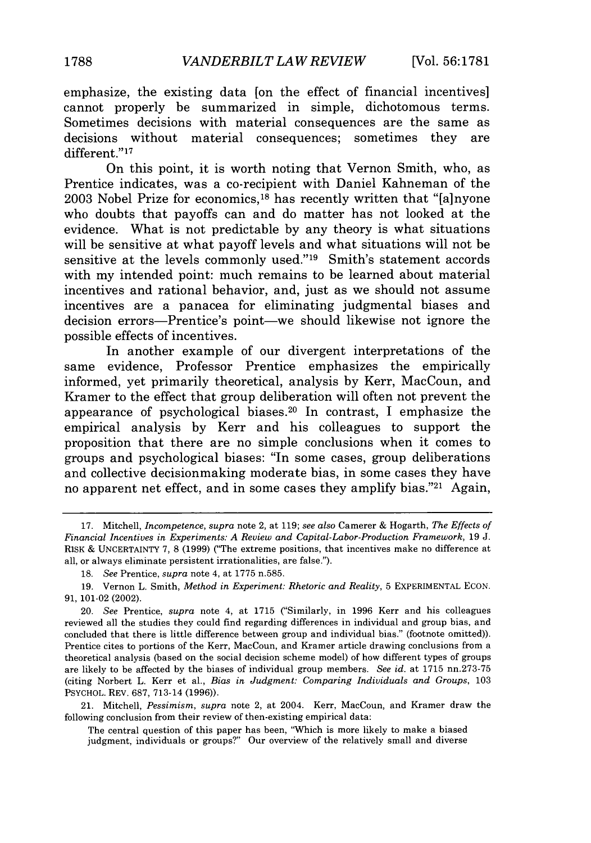emphasize, the existing data [on the effect of financial incentives] cannot properly be summarized in simple, dichotomous terms. Sometimes decisions with material consequences are the same as decisions without material consequences; sometimes they are different."<sup>17</sup>

On this point, it is worth noting that Vernon Smith, who, as Prentice indicates, was a co-recipient with Daniel Kahneman of the 2003 Nobel Prize for economics,<sup>18</sup> has recently written that "[a]nyone who doubts that payoffs can and do matter has not looked at the evidence. What is not predictable by any theory is what situations will be sensitive at what payoff levels and what situations will not be sensitive at the levels commonly used."<sup>19</sup> Smith's statement accords with my intended point: much remains to be learned about material incentives and rational behavior, and, just as we should not assume incentives are a panacea for eliminating judgmental biases and decision errors-Prentice's point-we should likewise not ignore the possible effects of incentives.

In another example of our divergent interpretations of the same evidence, Professor Prentice emphasizes the empirically informed, yet primarily theoretical, analysis by Kerr, MacCoun, and Kramer to the effect that group deliberation will often not prevent the appearance of psychological biases.<sup>20</sup> In contrast, I emphasize the empirical analysis by Kerr and his colleagues to support the proposition that there are no simple conclusions when it comes to groups and psychological biases: "In some cases, group deliberations and collective decisionmaking moderate bias, in some cases they have no apparent net effect, and in some cases they amplify bias." $21$  Again,

<sup>17.</sup> Mitchell, *Incompetence, supra* note 2, at 119; *see also* Camerer & Hogarth, *The Effects of Financial Incentives in Experiments: A Review and Capital-Labor-Production Framework,* 19 J. RISK & UNCERTAINTY 7, 8 (1999) ("The extreme positions, that incentives make no difference at all, or always eliminate persistent irrationalities, are false.").

*<sup>18.</sup> See* Prentice, supra note 4, at 1775 n.585.

<sup>19.</sup> Vernon L. Smith, *Method in Experiment: Rhetoric and Reality,* 5 EXPERIMENTAL ECON. 91, 101-02 (2002).

<sup>20.</sup> *See* Prentice, *supra* note 4, at 1715 ("Similarly, in 1996 Kerr and his colleagues reviewed all the studies they could find regarding differences in individual and group bias, and concluded that there is little difference between group and individual bias." (footnote omitted)). Prentice cites to portions of the Kerr, MacCoun, and Kramer article drawing conclusions from a theoretical analysis (based on the social decision scheme model) of how different types of groups are likely to be affected by the biases of individual group members. *See id.* at 1715 nn.273-75 (citing Norbert L. Kerr et al., *Bias in Judgment: Comparing Individuals and Groups,* 103 PSYCHOL. REV. 687, 713-14 (1996)).

<sup>21.</sup> Mitchell, *Pessimism, supra* note 2, at 2004. Kerr, MacCoun, and Kramer draw the following conclusion from their review of then-existing empirical data:

The central question of this paper has been, "Which is more likely to make a biased judgment, individuals or groups?" Our overview of the relatively small and diverse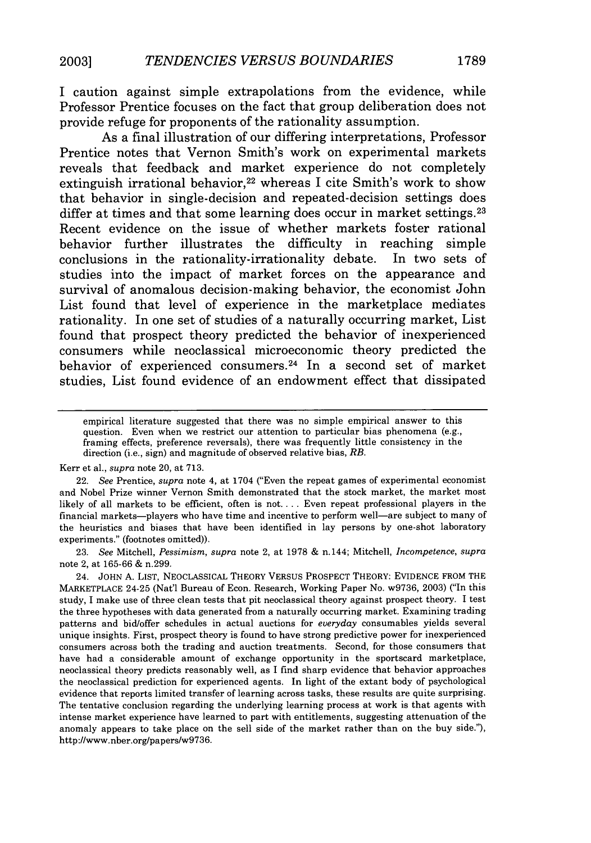I caution against simple extrapolations from the evidence, while Professor Prentice focuses on the fact that group deliberation does not provide refuge for proponents of the rationality assumption.

As a final illustration of our differing interpretations, Professor Prentice notes that Vernon Smith's work on experimental markets reveals that feedback and market experience do not completely extinguish irrational behavior,<sup>22</sup> whereas I cite Smith's work to show that behavior in single-decision and repeated-decision settings does differ at times and that some learning does occur in market settings.<sup>23</sup> Recent evidence on the issue of whether markets foster rational behavior further illustrates the difficulty in reaching simple conclusions in the rationality-irrationality debate. In two sets of studies into the impact of market forces on the appearance and survival of anomalous decision-making behavior, the economist John List found that level of experience in the marketplace mediates rationality. In one set of studies of a naturally occurring market, List found that prospect theory predicted the behavior of inexperienced consumers while neoclassical microeconomic theory predicted the behavior of experienced consumers. 24 In a second set of market studies, List found evidence of an endowment effect that dissipated

Kerr et al., *supra* note 20, at 713.

23. *See* Mitchell, *Pessimism, supra* note 2, at 1978 & n.144; Mitchell, *Incompetence, supra* note 2, at 165-66 & n.299.

24. JOHN A. LIST, NEOCLASSICAL THEORY VERSUS PROSPECT THEORY: EVIDENCE FROM THE MARKETPLACE 24-25 (Nat'l Bureau of Econ. Research, Working Paper No. w9736, 2003) ("In this study, I make use of three clean tests that pit neoclassical theory against prospect theory. I test the three hypotheses with data generated from a naturally occurring market. Examining trading patterns and bid/offer schedules in actual auctions for *everyday* consumables yields several unique insights. First, prospect theory is found to have strong predictive power for inexperienced consumers across both the trading and auction treatments. Second, for those consumers that have had a considerable amount of exchange opportunity in the sportscard marketplace, neoclassical theory predicts reasonably well, as I find sharp evidence that behavior approaches the neoclassical prediction for experienced agents. In light of the extant body of psychological evidence that reports limited transfer of learning across tasks, these results are quite surprising. The tentative conclusion regarding the underlying learning process at work is that agents with intense market experience have learned to part with entitlements, suggesting attenuation of the anomaly appears to take place on the sell side of the market rather than on the buy side."), http://www.nber.org/papers/w9736.

empirical literature suggested that there was no simple empirical answer to this question. Even when we restrict our attention to particular bias phenomena (e.g., framing effects, preference reversals), there was frequently little consistency in the direction (i.e., sign) and magnitude of observed relative bias, *RB.*

<sup>22.</sup> *See* Prentice, *supra* note 4, at 1704 ("Even the repeat games of experimental economist and Nobel Prize winner Vernon Smith demonstrated that the stock market, the market most likely of all markets to be efficient, often is not **....** Even repeat professional players in the financial markets-players who have time and incentive to perform well-are subject to many of the heuristics and biases that have been identified in lay persons by one-shot laboratory experiments." (footnotes omitted)).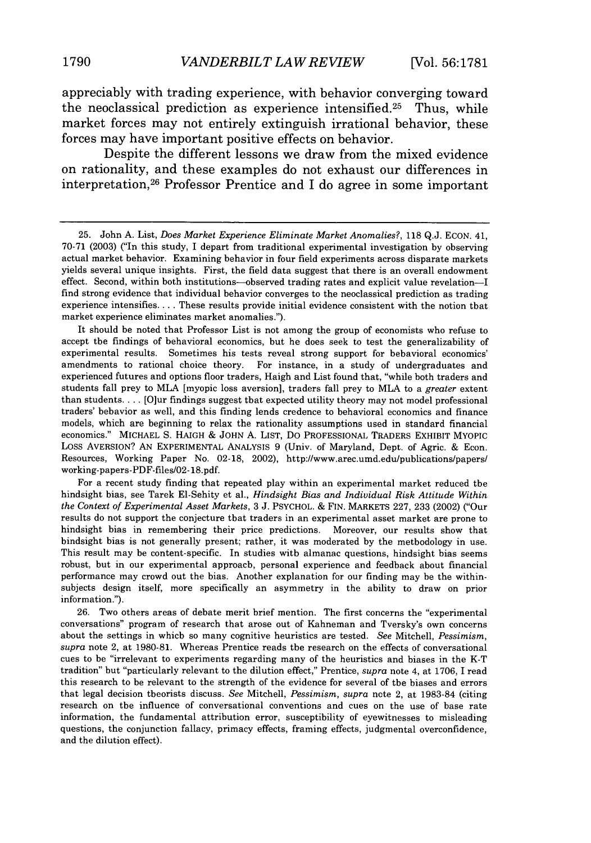appreciably with trading experience, with behavior converging toward the neoclassical prediction as experience intensified.<sup>25</sup> Thus, while market forces may not entirely extinguish irrational behavior, these forces may have important positive effects on behavior.

Despite the different lessons we draw from the mixed evidence on rationality, and these examples do not exhaust our differences in interpretation, 26 Professor Prentice and I do agree in some important

It should be noted that Professor List is not among the group of economists who refuse to accept the findings of behavioral economics, but he does seek to test the generalizability of experimental results. Sometimes his tests reveal strong support for behavioral economics' amendments to rational choice theory. For instance, in a study of undergraduates and experienced futures and options floor traders, Haigh and List found that, "while both traders and students fall prey to MLA [myopic loss aversion], traders fall prey to MLA to a *greater* extent than students **....** [Ojur findings suggest that expected utility theory may not model professional traders' behavior as well, and this finding lends credence to behavioral economics and finance models, which are beginning to relax the rationality assumptions used in standard financial economics." MICHAEL S. HAIGH **&** JOHN A. LIST, Do PROFESSIONAL TRADERS EXHIBIT MYOPIC Loss AVERSION? AN EXPERIMENTAL ANALYSIS 9 (Univ. of Maryland, Dept. of Agric. & Econ. Resources, Working Paper No. 02-18, 2002), http://www.arec.umd.edu/publications/papers/ working-papers-PDF-files/02-18.pdf.

For a recent study finding that repeated play within an experimental market reduced the hindsight bias, see Tarek El-Sehity et al., *Hindsight Bias and Individual Risk Attitude Within the Context of Experimental Asset Markets,* 3 J. PSYCHOL. & FIN. MARKETS 227, 233 (2002) ("Our results do not support the conjecture that traders in an experimental asset market are prone to hindsight bias in remembering their price predictions. Moreover, our results show that hindsight bias is not generally present; rather, it was moderated by the methodology in use. This result may be content-specific. In studies with almanac questions, hindsight bias seems robust, but in our experimental approach, personal experience and feedback about financial performance may crowd out the bias. Another explanation for our finding may be the withinsubjects design itself, more specifically an asymmetry in the ability to draw on prior information.").

26. Two others areas of debate merit brief mention. The first concerns the "experimental conversations" program of research that arose out of Kahneman and Tversky's own concerns about the settings in which so many cognitive heuristics are tested. *See* Mitchell, *Pessimism, supra* note 2, at 1980-81. Whereas Prentice reads the research on the effects of conversational cues to be "irrelevant to experiments regarding many of the heuristics and biases in the K-T tradition" but "particularly relevant to the dilution effect," Prentice, *supra* note 4, at 1706, I read this research to be relevant to the strength of the evidence for several of the biases and errors that legal decision theorists discuss. *See* Mitchell, *Pessimism, supra* note 2, at 1983-84 (citing research on the influence of conversational conventions and cues on the use of base rate information, the fundamental attribution error, susceptibility of eyewitnesses to misleading questions, the conjunction fallacy, primacy effects, framing effects, judgmental overconfidence, and the dilution effect).

<sup>25.</sup> John A. List, *Does Market Experience Eliminate Market Anomalies?,* 118 Q.J. ECON. 41, 70-71 (2003) ("In this study, I depart from traditional experimental investigation by observing actual market behavior. Examining behavior in four field experiments across disparate markets yields several unique insights. First, the field data suggest that there is an overall endowment effect. Second, within both institutions-observed trading rates and explicit value revelation-I find strong evidence that individual behavior converges to the neoclassical prediction as trading experience intensifies **....** These results provide initial evidence consistent with the notion that market experience eliminates market anomalies.").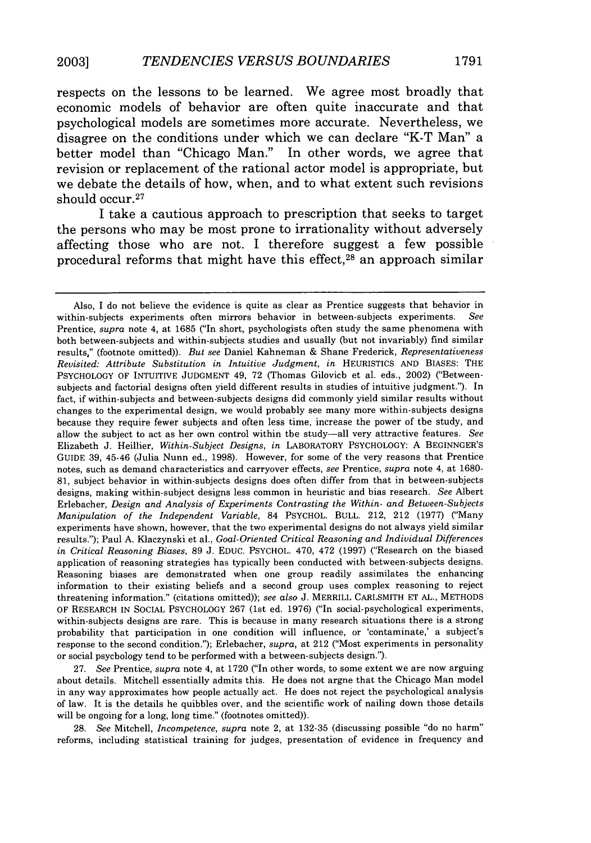respects on the lessons to be learned. We agree most broadly that economic models of behavior are often quite inaccurate and that psychological models are sometimes more accurate. Nevertheless, we disagree on the conditions under which we can declare "K-T Man" a better model than "Chicago Man." In other words, we agree that revision or replacement of the rational actor model is appropriate, but we debate the details of how, when, and to what extent such revisions should occur.<sup>27</sup>

I take a cautious approach to prescription that seeks to target the persons who may be most prone to irrationality without adversely affecting those who are not. I therefore suggest a few possible procedural reforms that might have this effect, 28 an approach similar

27. *See* Prentice, *supra* note 4, at 1720 ("In other words, to some extent we are now arguing about details. Mitchell essentially admits this. He does not argne that the Chicago Man model in any way approximates how people actually act. He does not reject the psychological analysis of law. It is the details he quibbles over, and the scientific work of nailing down those details will be ongoing for a long, long time." (footnotes omitted)).

28. See Mitchell, *Incompetence, supra* note 2, at 132-35 (discussing possible "do no harm" reforms, including statistical training for judges, presentation of evidence in frequency and

Also, I do not believe the evidence is quite as clear as Prentice suggests that behavior in within-subjects experiments often mirrors behavior in between-subjects experiments. *See* Prentice, *supra* note 4, at 1685 ("In short, psychologists often study the same phenomena with both between-subjects and within-subjects studies and usually (but not invariably) find similar results," (footnote omitted)). *But see* Daniel Kahneman & Shane Frederick, *Representativeness Revisited: Attribute Substitution in Intuitive Judgment, in* HEURISTICS AND BIASES: THE PSYCHOLOGY OF INTUITIVE JUDGMENT 49, 72 (Thomas Gilovich et al. eds., 2002) ("Betweensubjects and factorial designs often yield different results in studies of intuitive judgment."). In fact, if within-subjects and between-subjects designs did commonly yield similar results without changes to the experimental design, we would probably see many more within-subjects designs because they require fewer subjects and often less time, increase the power of the study, and allow the subject to act as her own control within the study-all very attractive features. *See* Elizabeth J. Heillier, *Within-Subject Designs, in* LABORATORY PSYCHOLOGY: A BEGINNGER'S GUIDE 39, 45-46 (Julia Nunn ed., 1998). However, for some of the very reasons that Prentice notes, such as demand characteristics and carryover effects, *see* Prentice, *supra* note 4, at 1680- 81, subject behavior in within-subjects designs does often differ from that in between-subjects designs, making within-subject designs less common in heuristic and bias research. *See* Albert Erlebacher, *Design and Analysis of Experiments Contrasting the Within- and Between-Subjects Manipulation of the Independent Variable,* 84 PSYCHOL. BULL. 212, 212 (1977) ('Many experiments have shown, however, that the two experimental designs do not always yield similar results."); Paul A. Klaczynski et al., *Goal-Oriented Critical Reasoning and Individual Differences in Critical Reasoning Biases,* 89 J. EDUC. PSYCHOL. 470, 472 (1997) ("Research on the biased application of reasoning strategies has typically been conducted with between-subjects designs. Reasoning biases are demonstrated when one group readily assimilates the enhancing information to their existing beliefs and a second group uses complex reasoning to reject threatening information." (citations omitted)); *see also* J. MERRILL CARLSMITH ET AL., METHODS OF RESEARCH IN SOCIAL PSYCHOLOGY 267 (1st ed. 1976) ("In social-psychological experiments, within-subjects designs are rare. This is because in many research situations there is a strong probability that participation in one condition will influence, or 'contaminate,' a subject's response to the second condition."); Erlebacher, *supra,* at 212 ("Most experiments in personality or social psychology tend to be performed with a between-subjects design.").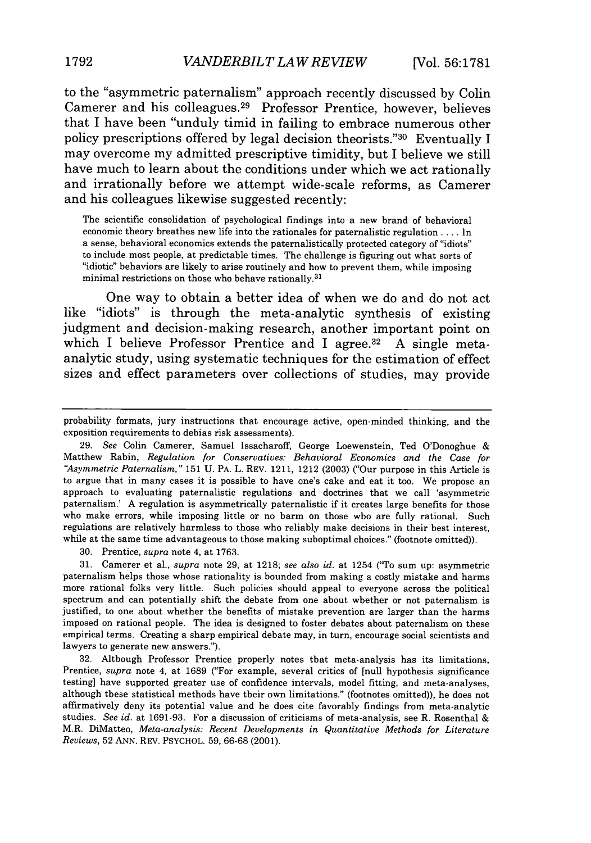to the "asymmetric paternalism" approach recently discussed **by Colin** Camerer and his colleagues. 29 Professor Prentice, however, believes that I have been "unduly timid in failing to embrace numerous other policy prescriptions offered **by** legal decision theorists."30 Eventually **I** may overcome my admitted prescriptive timidity, but I believe we still have much to learn about the conditions under which we act rationally and irrationally before we attempt wide-scale reforms, as Camerer and his colleagues likewise suggested recently:

The scientific consolidation of psychological findings into a new brand of behavioral economic theory breathes new life into the rationales for paternalistic regulation **....** In a sense, behavioral economics extends the paternalistically protected category of "idiots" to include most people, at predictable times. The challenge is figuring out what sorts of "idiotic" behaviors are likely to arise routinely and how to prevent them, while imposing minimal restrictions on those who behave rationally. $31$ 

One way to obtain a better idea of when we do and do not act like "idiots" is through the meta-analytic synthesis of existing judgment and decision-making research, another important point on which I believe Professor Prentice and I agree. $32$  A single metaanalytic study, using systematic techniques for the estimation of effect sizes and effect parameters over collections of studies, may provide

probability formats, jury instructions that encourage active, open-minded thinking, and the exposition requirements to debias risk assessments).

<sup>29.</sup> *See* Colin Camerer, Samuel Issacharoff, George Loewenstein, Ted O'Donoghue & Matthew Rabin, *Regulation for Conservatives: Behavioral Economics and the Case for 'Asymmetric Paternalism,"* 151 U. PA. L. REV. 1211, 1212 (2003) ("Our purpose in this Article is to argue that in many cases it is possible to have one's cake and eat it too. We propose an approach to evaluating paternalistic regulations and doctrines that we call 'asymmetric paternalism.' A regulation is asymmetrically paternalistic if it creates large benefits for those who make errors, while imposing little or no harm on those who are fully rational. Such regulations are relatively harmless to those who reliably make decisions in their best interest, while at the same time advantageous to those making suboptimal choices." (footnote omitted)).

<sup>30.</sup> Prentice, *supra* note 4, at 1763.

<sup>31.</sup> Camerer et al., *supra* note 29, at 1218; *see also id.* at 1254 ("To sum up: asymmetric paternalism helps those whose rationality is bounded from making a costly mistake and harms more rational folks very little. Such policies should appeal to everyone across the political spectrum and can potentially shift the debate from one about whether or not paternalism is justified, to one about whether the benefits of mistake prevention are larger than the harms imposed on rational people. The idea is designed to foster debates about paternalism on these empirical terms. Creating a sharp empirical debate may, in turn, encourage social scientists and lawyers to generate new answers.").

<sup>32.</sup> Although Professor Prentice properly notes that meta-analysis has its limitations, Prentice, *supra* note 4, at 1689 ("For example, several critics of [null hypothesis significance testing] have supported greater use of confidence intervals, model fitting, and meta-analyses, although these statistical methods have their own limitations." (footnotes omitted)), he does not affirmatively deny its potential value and he does cite favorably findings from meta-analytic studies. *See* id. at 1691-93. For a discussion of criticisms of meta-analysis, see R. Rosenthal & M.R. DiMatteo, *Meta-analysis: Recent Developments in Quantitative Methods for Literature Reviews,* 52 ANN. REV. PSYCHOL. 59, 66-68 (2001).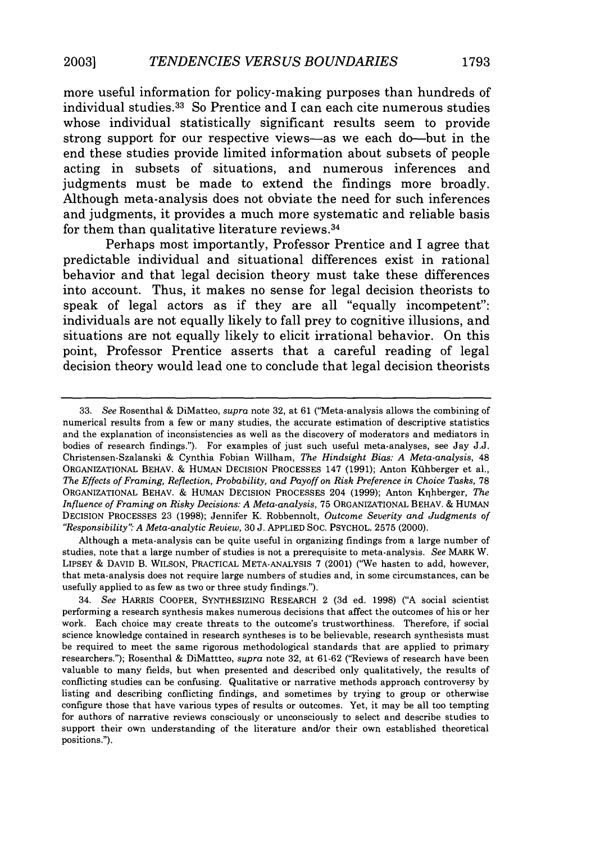more useful information for policy-making purposes than hundreds of individual studies. 33 So Prentice and I can each cite numerous studies whose individual statistically significant results seem to provide strong support for our respective views-as we each do-but in the end these studies provide limited information about subsets of people acting in subsets of situations, and numerous inferences and judgments must be made to extend the findings more broadly. Although meta-analysis does not obviate the need for such inferences and judgments, it provides a much more systematic and reliable basis for them than qualitative literature reviews.<sup>34</sup>

Perhaps most importantly, Professor Prentice and I agree that predictable individual and situational differences exist in rational behavior and that legal decision theory must take these differences into account. Thus, it makes no sense for legal decision theorists to speak of legal actors as if they are all "equally incompetent": individuals are not equally likely to fall prey to cognitive illusions, and situations are not equally likely to elicit irrational behavior. On this point, Professor Prentice asserts that a careful reading of legal decision theory would lead one to conclude that legal decision theorists

Although a meta-analysis can be quite useful in organizing findings from a large number of studies, note that a large number of studies is not a prerequisite to meta-analysis. *See* MARK W. LIPSEY & DAVID B. WILSON, PRACTICAL META-ANALYSIS 7 (2001) ("We hasten to add, however, that meta-analysis does not require large numbers of studies and, in some circumstances, can be usefully applied to as few as two or three study findings.").

<sup>33.</sup> *See* Rosenthal & DiMatteo, *supra* note 32, at 61 ('Meta-analysis allows the combining of numerical results from a few or many studies, the accurate estimation of descriptive statistics and the explanation of inconsistencies as well as the discovery of moderators and mediators in bodies of research findings."). For examples of just such useful meta.analyses, see Jay J.J. Christensen-Szalanski & Cynthia Fobian Willham, *The Hindsight Bias: A Meta-analysis,* 48 ORGANIZATIONAL BEHAV. & HUMAN DECISION PROCESSES 147 (1991); Anton Kfihberger et al., *The Effects of Framing, Reflection, Probability, and Payoff on Risk Preference in Choice Tasks,* <sup>78</sup> ORGANIZATIONAL BEHAV. & HUMAN DECISION PROCESSES 204 (1999); Anton Krlhberger, *The Influence of Framing on Risky Decisions: A Meta-analysis,* 75 ORGANIZATIONAL BEHAV. & HUMAN DECISION PROCESSES 23 (1998); Jennifer K. Robbennolt, *Outcome Severity and Judgments of "Responsibility": A Meta-analytic Review,* 30 J. APPLIED SOC. PSYCHOL. 2575 (2000).

<sup>34.</sup> *See* HARRIS COOPER, SYNTHESIZING RESEARCH 2 (3d ed. 1998) ("A social scientist performing a research synthesis makes numerous decisions that affect the outcomes of his or her work. Each choice may create threats to the outcome's trustworthiness. Therefore, if social science knowledge contained in research syntheses is to be believable, research synthesists must be required to meet the same rigorous methodological standards that are applied to primary researchers."); Rosenthal & DiMattteo, *supra* note 32, at 61-62 ("Reviews of research have been valuable to many fields, but when presented and described only qualitatively, the results of conflicting studies can be confusing. Qualitative or narrative methods approach controversy by listing and describing conflicting findings, and sometimes by trying to group or otherwise configure those that have various types of results or outcomes. Yet, it may be all too tempting for authors of narrative reviews consciously or unconsciously to select and describe studies to support their own understanding of the literature and/or their own established theoretical positions.").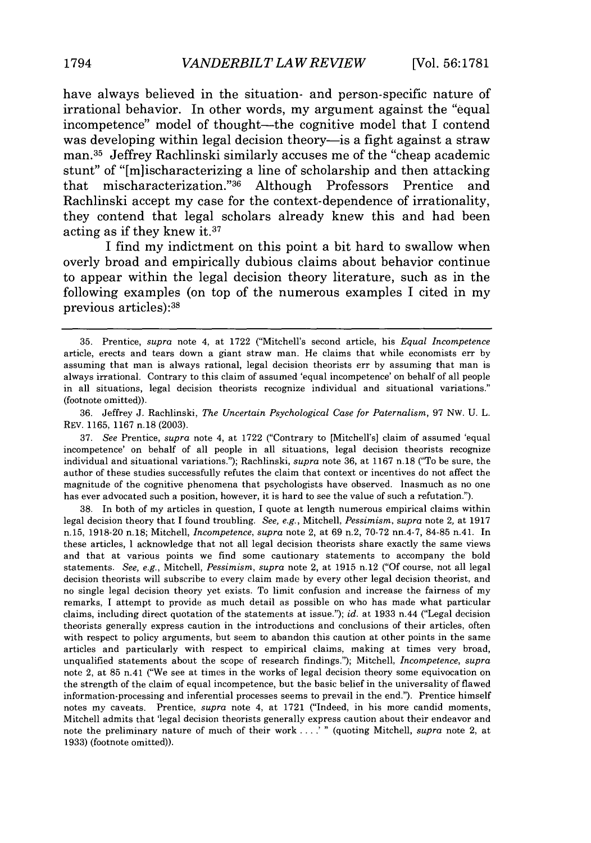have always believed in the situation- and person-specific nature of irrational behavior. In other words, my argument against the "equal incompetence" model of thought-the cognitive model that I contend was developing within legal decision theory-is a fight against a straw man. 35 Jeffrey Rachlinski similarly accuses me of the "cheap academic stunt" of "[mlischaracterizing a line of scholarship and then attacking that mischaracterization." 36 Although Professors Prentice and Rachlinski accept my case for the context-dependence of irrationality, they contend that legal scholars already knew this and had been acting as if they knew **it.3<sup>7</sup>**

**I** find my indictment on this point a bit hard to swallow when overly broad and empirically dubious claims about behavior continue to appear within the legal decision theory literature, such as in the following examples (on top of the numerous examples I cited in my previous articles):<sup>38</sup>

37. *See* Prentice, *supra* note 4, at 1722 ("Contrary to [Mitchell's] claim of assumed 'equal incompetence' on behalf of all people in all situations, legal decision theorists recognize individual and situational variations."); Rachlinski, *supra* note 36, at 1167 n.18 ("To be sure, the author of these studies successfully refutes the claim that context or incentives do not affect the magnitude of the cognitive phenomena that psychologists have observed. Inasmuch as no one has ever advocated such a position, however, it is hard to see the value of such a refutation.").

38. In both of my articles in question, I quote at length numerous empirical claims within legal decision theory that I found troubling. *See, e.g.,* Mitchell, *Pessimism, supra* note 2, at 1917 n.15, 1918-20 n.18; Mitchell, *Incompetence, supra* note 2, at 69 n.2, 70-72 nn.4-7, 84-85 n.41. In these articles, I acknowledge that not all legal decision theorists share exactly the same views and that at various points we find some cautionary statements to accompany the bold statements. *See, e.g.,* Mitchell, *Pessimism, supra* note 2, at 1915 n.12 ("Of course, not all legal decision theorists will subscribe to every claim made by every other legal decision theorist, and no single legal decision theory yet exists. To limit confusion and increase the fairness of my remarks, I attempt to provide as much detail as possible on who has made what particular claims, including direct quotation of the statements at issue."); *id.* at 1933 n.44 ("Legal decision theorists generally express caution in the introductions and conclusions of their articles, often with respect to policy arguments, but seem to abandon this caution at other points in the same articles and particularly with respect to empirical claims, making at times very broad, unqualified statements about the scope of research findings."); Mitchell, *Incompetence, supra* note 2, at 85 n.41 ("We see at times in the works of legal decision theory some equivocation on the strength of the claim of equal incompetence, but the basic belief in the universality of flawed information-processing and inferential processes seems to prevail in the end."). Prentice himself notes my caveats. Prentice, *supra* note 4, at 1721 ("Indeed, in his more candid moments, Mitchell admits that 'legal decision theorists generally express caution about their endeavor and note the preliminary nature of much of their work ....<sup>7</sup> " (quoting Mitchell, *supra* note 2, at 1933) (footnote omitted)).

<sup>35.</sup> Prentice, *supra* note 4, at 1722 ("Mitchell's second article, his *Equal Incompetence* article, erects and tears down a giant straw man. He claims that while economists err by assuming that man is always rational, legal decision theorists err by assuming that man is always irrational. Contrary to this claim of assumed 'equal incompetence' on behalf of all people in all situations, legal decision theorists recognize individual and situational variations." (footnote omitted)).

<sup>36.</sup> Jeffrey J. Rachlinski, *The Uncertain Psychological Case for Paternalism,* 97 Nw. U. L. REV. 1165, 1167 n.18 (2003).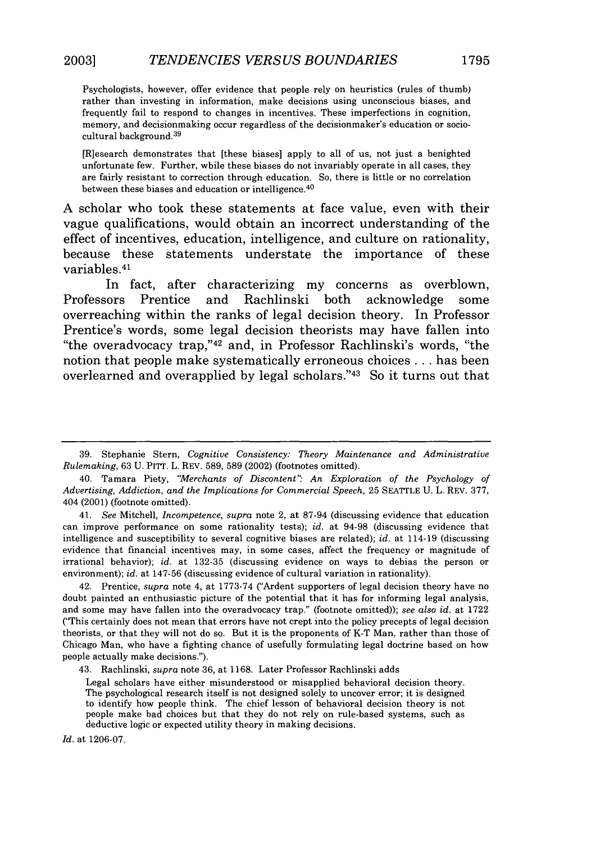Psychologists, however, offer evidence that people rely on heuristics (rules of thumb) rather than investing in information, make decisions using unconscious biases, and frequently fail to respond to changes in incentives. These imperfections in cognition, memory, and decisionmaking occur regardless of the decisionmaker's education or sociocultural background. <sup>39</sup>

[R]esearch demonstrates that [these biases] apply to all of us, not just a benighted unfortunate few. Further, while these biases do not invariably operate in all cases, they are fairly resistant to correction through education. So, there is little or no correlation between these biases and education or intelligence.<sup>40</sup>

A scholar who took these statements at face value, even with their vague qualifications, would obtain an incorrect understanding of the effect of incentives, education, intelligence, and culture on rationality, because these statements understate the importance of these variables. <sup>41</sup>

In fact, after characterizing my concerns as overblown, Professors Prentice and Rachlinski both acknowledge some overreaching within the ranks of legal decision theory. In Professor Prentice's words, some legal decision theorists may have fallen into "the overadvocacy trap,"<sup>42</sup> and, in Professor Rachlinski's words, "the notion that people make systematically erroneous choices **...** has been overlearned and overapplied by legal scholars."43 So it turns out that

41. *See* Mitchell, *Incompetence, supra* note 2, at 87-94 (discussing evidence that education can improve performance on some rationality tests); *id.* at 94-98 (discussing evidence that intelligence and susceptibility to several cognitive biases are related); *id.* at 114-19 (discussing evidence that financial incentives may, in some cases, affect the frequency or magnitude of irrational behavior); *id.* at 132-35 (discussing evidence on ways to debias the person or environment); id. at 147-56 (discussing evidence of cultural variation in rationality).

42. Prentice, *supra* note 4, at 1773-74 ("Ardent supporters of legal decision theory have no doubt painted an enthusiastic picture of the potential that it has for informing legal analysis, and some may have fallen into the overadvocacy trap." (footnote omitted)); *see also id.* at 1722 ("This certainly does not mean that errors have not crept into the policy precepts of legal decision theorists, or that they will not do so. But it is the proponents of K-T Man, rather than those of Chicago Man, who have a fighting chance of usefully formulating legal doctrine based on how people actually make decisions.").

*Id.* at 1206-07.

<sup>39.</sup> Stephanie Stern, *Cognitive Consistency: Theory Maintenance and Administrative Rulemaking,* 63 U. PITT. L. REV. 589, 589 (2002) (footnotes omitted).

<sup>40.</sup> Tamara Piety, *"Merchants of Discontent" An Exploration of the Psychology of Advertising, Addiction, and the Implications for Commercial Speech,* 25 SEATTLE U. L. REV. 377, 404 (2001) (footnote omitted).

<sup>43.</sup> Rachlinski, *supra* note 36, at 1168. Later Professor Rachlinski adds

Legal scholars have either misunderstood or misapplied behavioral decision theory. The psychological research itself is not designed solely to uncover error; it is designed to identify how people think. The chief lesson of behavioral decision theory is not people make bad choices but that they do not rely on rule-based systems, such as deductive logic or expected utility theory in making decisions.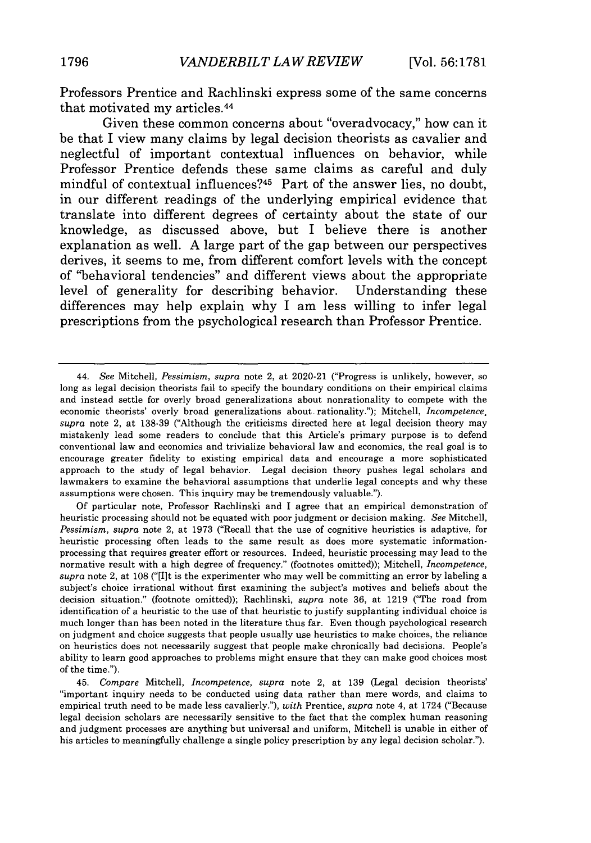Professors Prentice and Rachlinski express some of the same concerns that motivated my articles. <sup>44</sup>

Given these common concerns about "overadvocacy," how can it be that I view many claims by legal decision theorists as cavalier and neglectful of important contextual influences on behavior, while Professor Prentice defends these same claims as careful and duly mindful of contextual influences?<sup>45</sup> Part of the answer lies, no doubt, in our different readings of the underlying empirical evidence that translate into different degrees of certainty about the state of our knowledge, as discussed above, but I believe there is another explanation as well. A large part of the gap between our perspectives derives, it seems to me, from different comfort levels with the concept of "behavioral tendencies" and different views about the appropriate level of generality for describing behavior. Understanding these differences may help explain why I am less willing to infer legal prescriptions from the psychological research than Professor Prentice.

Of particular note, Professor Rachlinski and I agree that an empirical demonstration of heuristic processing should not be equated with poor judgment or decision making. *See* Mitchell, *Pessimism, supra* note 2, at 1973 ("Recall that the use of cognitive heuristics is adaptive, for heuristic processing often leads to the same result as does more systematic informationprocessing that requires greater effort or resources. Indeed, heuristic processing may lead to the normative result with a high degree of frequency." (footnotes omitted)); Mitchell, *Incompetence, supra* note 2, at 108 ("[I]t is the experimenter who may well be committing an error by labeling a subject's choice irrational without first examining the subject's motives and beliefs about the decision situation." (footnote omitted)); Rachlinski, *supra* note 36, at 1219 ("The road from identification of a heuristic to the use of that heuristic to justify supplanting individual choice is much longer than has been noted in the literature thus far. Even though psychological research on judgment and choice suggests that people usually use heuristics to make choices, the reliance on heuristics does not necessarily suggest that people make chronically bad decisions. People's ability to learn good approaches to problems might ensure that they can make good choices most of the time.").

<sup>44.</sup> *See* Mitchell, *Pessimism, supra* note 2, at 2020-21 ("Progress is unlikely, however, so long as legal decision theorists fail to specify the boundary conditions on their empirical claims and instead settle for overly broad generalizations about nonrationality to compete with the economic theorists' overly broad generalizations about. rationality."); Mitchell, *Incompetence, supra* note 2, at 138-39 ("Although the criticisms directed here at legal decision theory may mistakenly lead some readers to conclude that this Article's primary purpose is to defend conventional law and economics and trivialize behavioral law and economics, the real goal is to encourage greater fidelity to existing empirical data and encourage a more sophisticated approach to the study of legal behavior. Legal decision theory pushes legal scholars and lawmakers to examine the behavioral assumptions that underlie legal concepts and why these assumptions were chosen. This inquiry may be tremendously valuable.").

<sup>45.</sup> *Compare* Mitchell, *Incompetence, supra* note 2, at 139 (Legal decision theorists' "important inquiry needs to be conducted using data rather than mere words, and claims to empirical truth need to be made less cavalierly."), *with* Prentice, *supra* note 4, at 1724 ("Because legal decision scholars are necessarily sensitive to the fact that the complex human reasoning and judgment processes are anything but universal and uniform, Mitchell is unable in either of his articles to meaningfully challenge a single policy prescription by any legal decision scholar.").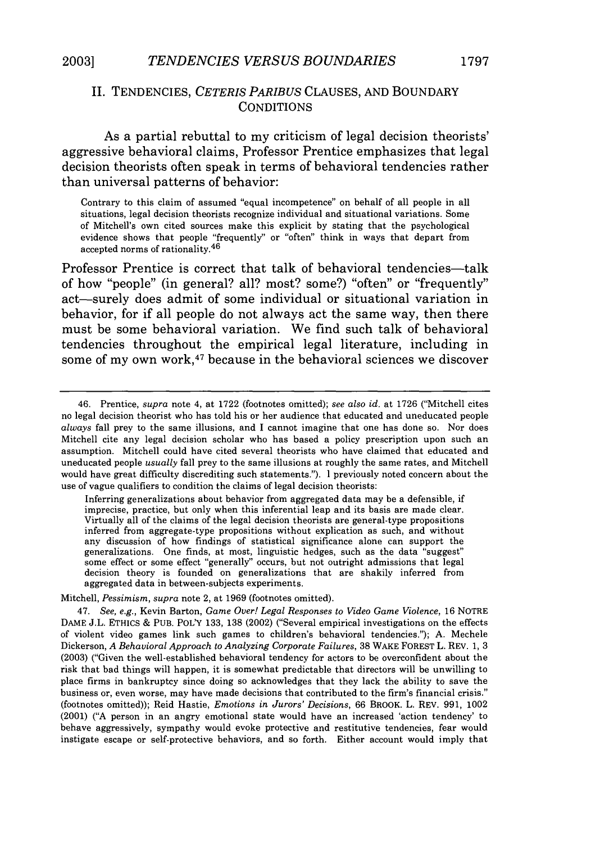#### II. TENDENCIES, *CETERIS PARIBUS* CLAUSES, AND BOUNDARY **CONDITIONS**

As a partial rebuttal to my criticism of legal decision theorists' aggressive behavioral claims, Professor Prentice emphasizes that legal decision theorists often speak in terms of behavioral tendencies rather than universal patterns of behavior:

Contrary to this claim of assumed "equal incompetence" on behalf of all people in all situations, legal decision theorists recognize individual and situational variations. Some of Mitchell's own cited sources make this explicit by stating that the psychological evidence shows that people "frequently" or "often" think in ways that depart from accepted norms of rationality.<sup>46</sup>

Professor Prentice is correct that talk of behavioral tendencies-talk of how "people" (in general? all? most? some?) "often" or "frequently" act-surely does admit of some individual or situational variation in behavior, for if all people do not always act the same way, then there must be some behavioral variation. We find such talk of behavioral tendencies throughout the empirical legal literature, including in some of my own work,<sup>47</sup> because in the behavioral sciences we discover

Inferring generalizations about behavior from aggregated data may be a defensible, if imprecise, practice, but only when this inferential leap and its basis are made clear. Virtually all of the claims of the legal decision theorists are general-type propositions inferred from aggregate-type propositions without explication as such, and without any discussion of how findings of statistical significance alone can support the generalizations. One finds, at most, linguistic hedges, such as the data "suggest" some effect or some effect "generally" occurs, but not outright admissions that legal decision theory is founded on generalizations that are shakily inferred from aggregated data in between-subjects experiments.

Mitchell, *Pessimism, supra* note 2, at 1969 (footnotes omitted).

47. *See, e.g.,* Kevin Barton, *Game Over! Legal Responses to Video Game Violence,* 16 NOTRE DAME J.L. ETHICS & PUB. POL'Y 133, 138 (2002) ("Several empirical investigations on the effects of violent video games link such games to children's behavioral tendencies."); A. Mechele Dickerson, *A Behavioral Approach to Analyzing Corporate Failures,* 38 WAKE FOREST L. REV. 1, 3 (2003) ("Given the well-established behavioral tendency for actors to be overconfident about the risk that bad things will happen, it is somewhat predictable that directors will be unwilling to place firms in bankruptcy since doing so acknowledges that they lack the ability to save the business or, even worse, may have made decisions that contributed to the firm's financial crisis." (footnotes omitted)); Reid Hastie, *Emotions in Jurors' Decisions,* 66 BROOK. L. REV. 991, 1002 (2001) ("A person in an angry emotional state would have an increased 'action tendency' to behave aggressively, sympathy would evoke protective and restitutive tendencies, fear would instigate escape or self-protective behaviors, and so forth. Either account would imply that

<sup>46.</sup> Prentice, *supra* note 4, at 1722 (footnotes omitted); *see also id.* at 1726 ("Mitchell cites no legal decision theorist who has told his or her audience that educated and uneducated people *always* fall prey to the same illusions, and I cannot imagine that one has done so. Nor does Mitchell cite any legal decision scholar who has based a policy prescription upon such an assumption. Mitchell could have cited several theorists who have claimed that educated and uneducated people *usually* fall prey to the same illusions at roughly the same rates, and Mitchell would have great difficulty discrediting such statements."). I previously noted concern about the use of vague qualifiers to condition the claims of legal decision theorists: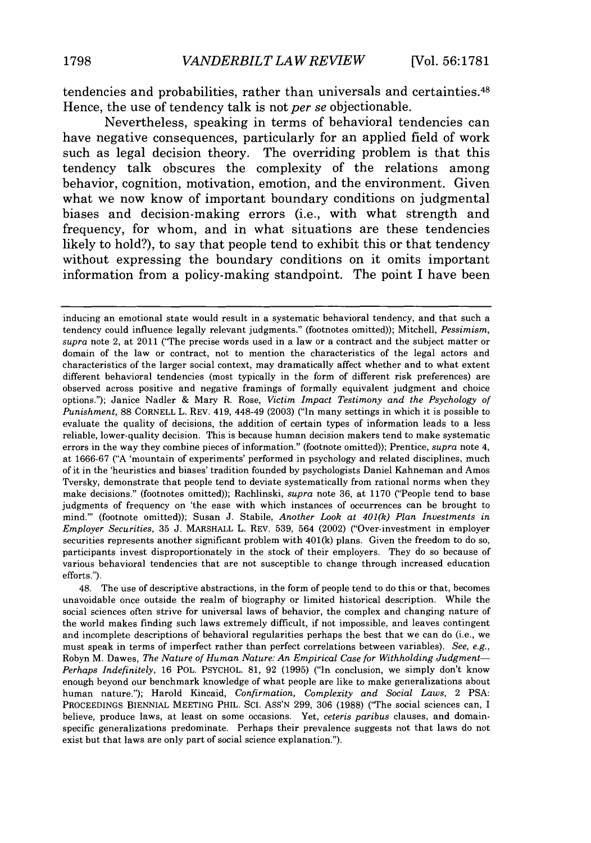tendencies and probabilities, rather than universals and certainties. <sup>48</sup> Hence, the use of tendency talk is not *per se* objectionable.

Nevertheless, speaking in terms of behavioral tendencies can have negative consequences, particularly for an applied field of work such as legal decision theory. The overriding problem is that this tendency talk obscures the complexity of the relations among behavior, cognition, motivation, emotion, and the environment. Given what we now know of important boundary conditions on judgmental biases and decision-making errors (i.e., with what strength and frequency, for whom, and in what situations are these tendencies likely to hold?), to say that people tend to exhibit this or that tendency without expressing the boundary conditions on it omits important information from a policy-making standpoint. The point I have been

48. The use of descriptive abstractions, in the form of people tend to do this or that, becomes unavoidable once outside the realm of biography or limited historical description. While the social sciences often strive for universal laws of behavior, the complex and changing nature of the world makes finding such laws extremely difficult, if not impossible, and leaves contingent and incomplete descriptions of behavioral regularities perhaps the best that we can do (i.e., we must speak in terms of imperfect rather than perfect correlations between variables). *See, e.g.,* Robyn M. Dawes, *The Nature of Human Nature: An Empirical Case for Withholding Judgment-Perhaps Indefinitely,* 16 POL. PSYCHOL. 81, 92 (1995) ("In conclusion, we simply don't know enough beyond our benchmark knowledge of what people are like to make generalizations about human nature."); Harold Kincaid, *Confirmation, Complexity and Social Laws,* 2 PSA: PROCEEDINGS BIENNIAL MEETING PHIL. SCI. ASS'N 299, 306 (1988) ("The social sciences can, I believe, produce laws, at least on some occasions. Yet, *ceteris paribus* clauses, and domain. specific generalizations predominate. Perhaps their prevalence suggests not that laws do not exist but that laws are only part of social science explanation.").

inducing an emotional state would result in a systematic behavioral tendency, and that such a tendency could influence legally relevant judgments." (footnotes omitted)); Mitchell, *Pessimism, supra* note 2, at 2011 ("The precise words used in a law or a contract and the subject matter or domain of the law or contract, not to mention the characteristics of the legal actors and characteristics of the larger social context, may dramatically affect whether and to what extent different behavioral tendencies (most typically in the form of different risk preferences) are observed across positive and negative framings of formally equivalent judgment and choice options."); Janice Nadler & Mary R. Rose, *Victim Impact Testimony and the Psychology of Punishment,* 88 CORNELL L. REV. 419, 448-49 (2003) ("In many settings in which it is possible to evaluate the quality of decisions, the addition of certain types of information leads to a less reliable, lower-quality decision. This is because human decision makers tend to make systematic errors in the way they combine pieces of information." (footnote omitted)); Prentice, *supra* note 4, at 1666-67 ("A 'mountain of experiments' performed in psychology and related disciplines, much of it in the 'heuristics and biases' tradition founded by psychologists Daniel Kahneman and Amos Tversky, demonstrate that people tend to deviate systematically from rational norms when they make decisions." (footnotes omitted)); Rachlinski, *supra* note 36, at 1170 ("People tend to base judgments of frequency on 'the ease with which instances of occurrences can be brought to mind."' (footnote omitted)); Susan J. Stabile, *Another Look at 401(k) Plan Investments in Employer Securities,* 35 J. MARSHALL L. REV. 539, 564 (2002) ("Over-investment in employer securities represents another significant problem with  $401(k)$  plans. Given the freedom to do so, participants invest disproportionately in the stock of their employers. They do so because of various behavioral tendencies that are not susceptible to change through increased education efforts.").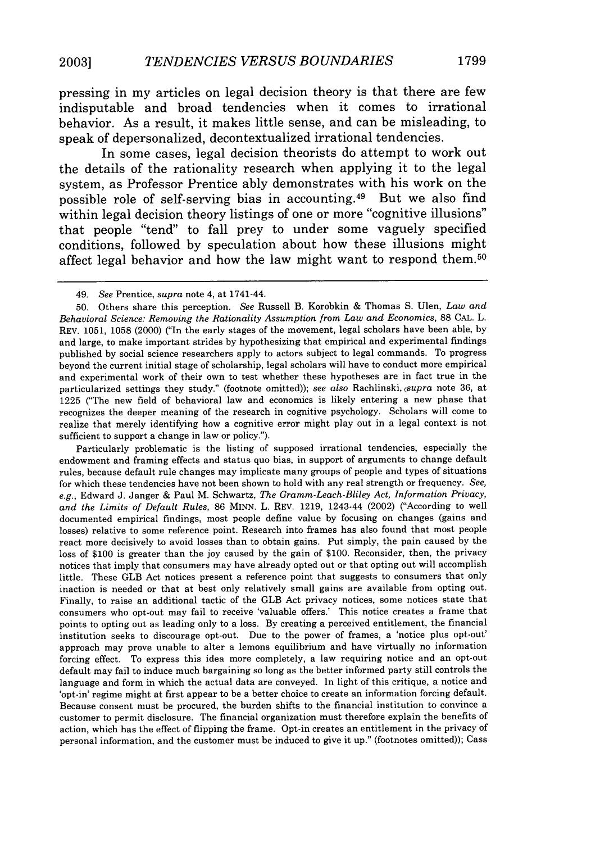pressing in my articles on legal decision theory is that there are few indisputable and broad tendencies when it comes to irrational behavior. As a result, it makes little sense, and can be misleading, to speak of depersonalized, decontextualized irrational tendencies.

In some cases, legal decision theorists do attempt to work out the details of the rationality research when applying it to the legal system, as Professor Prentice ably demonstrates with his work on the possible role of self-serving bias in accounting. 49 But we also find within legal decision theory listings of one or more "cognitive illusions" that people "tend" to fall prey to under some vaguely specified conditions, followed **by** speculation about how these illusions might affect legal behavior and how the law might want to respond them.<sup>50</sup>

Particularly problematic is the listing of supposed irrational tendencies, especially the endowment and framing effects and status quo bias, in support of arguments to change default rules, because default rule changes may implicate many groups of people and types of situations for which these tendencies have not been shown to hold with any real strength or frequency. *See, e.g.,* Edward J. Janger & Paul M. Schwartz, *The Gramm-Leach-Bliley Act, Information Privacy, and the Limits of Default Rules,* 86 MINN. L. REV. 1219, 1243-44 (2002) ("According to well documented empirical findings, most people define value by focusing on changes (gains and losses) relative to some reference point. Research into frames has also found that most people react more decisively to avoid losses than to obtain gains. Put simply, the pain caused by the loss of \$100 is greater than the joy caused by the gain of \$100. Reconsider, then, the privacy notices that imply that consumers may have already opted out or that opting out will accomplish little. These GLB Act notices present a reference point that suggests to consumers that only inaction is needed or that at best only relatively small gains are available from opting out. Finally, to raise an additional tactic of the GLB Act privacy notices, some notices state that consumers who opt-out may fail to receive 'valuable offers.' This notice creates a frame that points to opting out as leading only to a loss. By creating a perceived entitlement, the financial institution seeks to discourage opt-out. Due to the power of frames, a 'notice plus opt-out' approach may prove unable to alter a lemons equilibrium and have virtually no information forcing effect. To express this idea more completely, a law requiring notice and an opt-out default may fail to induce much bargaining so long as the better informed party still controls the language and form in which the actual data are conveyed. In light of this critique, a notice and 'opt-in' regime might at first appear to be a better choice to create an information forcing default. Because consent must be procured, the burden shifts to the financial institution to convince a customer to permit disclosure. The financial organization must therefore explain the benefits of action, which has the effect of flipping the frame. Opt-in creates an entitlement in the privacy of personal information, and the customer must be induced to give it up." (footnotes omitted)); Cass

<sup>49.</sup> *See* Prentice, *supra* note 4, at 1741-44.

<sup>50.</sup> Others share this perception. *See* Russell B. Korobkin & Thomas S. Ulen, *Law and Behavioral Science: Removing the Rationality Assumption from Law and Economics,* 88 **CAL.** L. REV. 1051, 1058 (2000) ("In the early stages of the movement, legal scholars have been able, by and large, to make important strides by hypothesizing that empirical and experimental findings published by social science researchers apply to actors subject to legal commands. To progress beyond the current initial stage of scholarship, legal scholars will have to conduct more empirical and experimental work of their own to test whether these hypotheses are in fact true in the particularized settings they study." (footnote omitted)); *see also* Rachlinski, *Gsupra* note 36, at 1225 ("The new field of behavioral law and economics is likely entering a new phase that recognizes the deeper meaning of the research in cognitive psychology. Scholars will come to realize that merely identifying how a cognitive error might play out in a legal context is not sufficient to support a change in law or policy.").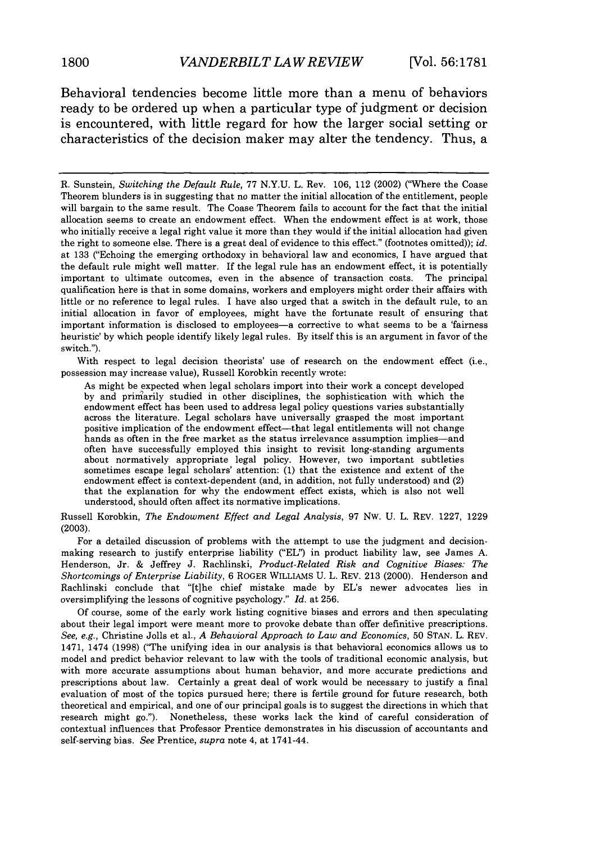Behavioral tendencies become little more than a menu of behaviors ready to be ordered up when a particular type of judgment or decision is encountered, with little regard for how the larger social setting or characteristics of the decision maker may alter the tendency. Thus, a

R. Sunstein, *Switching the Default Rule,* 77 N.Y.U. L. Rev. 106, 112 (2002) ("Where the Coase Theorem blunders is in suggesting that no matter the initial allocation of the entitlement, people will bargain to the same result. The Coase Theorem fails to account for the fact that the initial allocation seems to create an endowment effect. When the endowment effect is at work, those who initially receive a legal right value it more than they would if the initial allocation had given the right to someone else. There is a great deal of evidence to this effect." (footnotes omitted)); *id.* at 133 ("Echoing the emerging orthodoxy in behavioral law and economics, I have argued that the default rule might well matter. If the legal rule has an endowment effect, it is potentially important to ultimate outcomes, even in the absence of transaction costs. The principal qualification here is that in some domains, workers and employers might order their affairs with little or no reference to legal rules. I have also urged that a switch in the default rule, to an initial allocation in favor of employees, might have the fortunate result of ensuring that important information is disclosed to employees-a corrective to what seems to be a 'fairness heuristic' by which people identify likely legal rules. By itself this is an argument in favor of the switch.").

With respect to legal decision theorists' use of research on the endowment effect (i.e., possession may increase value), Russell Korobkin recently wrote:

As might be expected when legal scholars import into their work a concept developed by and prirarily studied in other disciplines, the sophistication with which the endowment effect has been used to address legal policy questions varies substantially across the literature. Legal scholars have universally grasped the most important positive implication of the endowment effect-that legal entitlements will not change hands as often in the free market as the status irrelevance assumption implies—and often have successfully employed this insight to revisit long-standing arguments about normatively appropriate legal policy. However, two important subtleties sometimes escape legal scholars' attention: (1) that the existence and extent of the endowment effect is context-dependent (and, in addition, not fully understood) and (2) that the explanation for why the endowment effect exists, which is also not well understood, should often affect its normative implications.

Russell Korobkin, *The Endowment Effect and Legal Analysis,* 97 Nw. U. L. REV. 1227, 1229 (2003).

For a detailed discussion of problems with the attempt to use the judgment and decisionmaking research to justify enterprise liability ("EL") in product liability law, see James A. Henderson, Jr. & Jeffrey J. Rachlinski, *Product-Related Risk and Cognitive Biases: The Shortcomings of Enterprise Liability,* 6 ROGER WILLIAMS U. L. REV. 213 (2000). Henderson and Rachlinski conclude that "[t]he chief mistake made by EL's newer advocates lies in oversimplifying the lessons of cognitive psychology." *Id.* at 256.

Of course, some of the early work listing cognitive biases and errors and then speculating about their legal import were meant more to provoke debate than offer definitive prescriptions. *See, e.g.,* Christine Jolls et al., *A Behavioral Approach to Law and Economics,* 50 STAN. L. REV. 1471, 1474 (1998) ('The unifying idea in our analysis is that behavioral economics allows us to model and predict behavior relevant to law with the tools of traditional economic analysis, but with more accurate assumptions about human behavior, and more accurate predictions and prescriptions about law. Certainly a great deal of work would be necessary to justify a final evaluation of most of the topics pursued here; there is fertile ground for future research, both theoretical and empirical, and one of our principal goals is to suggest the directions in which that research might go."). Nonetheless, these works lack the kind of careful consideration of contextual influences that Professor Prentice demonstrates in his discussion of accountants and self-serving bias. *See* Prentice, *supra* note 4, at 1741-44.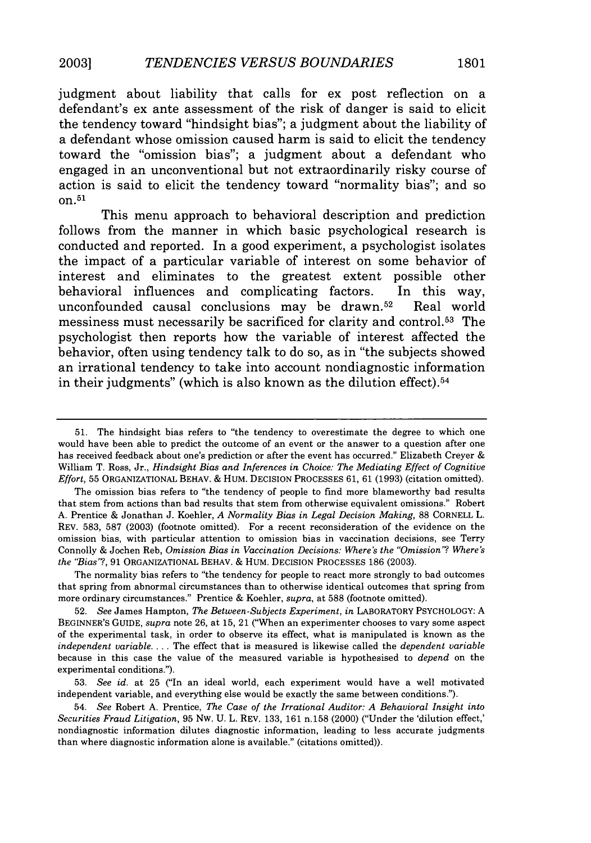judgment about liability that calls for ex post reflection on a defendant's ex ante assessment of the risk of danger is said to elicit the tendency toward "hindsight bias"; a judgment about the liability of a defendant whose omission caused harm is said to elicit the tendency toward the "omission bias"; a judgment about a defendant who engaged in an unconventional but not extraordinarily risky course of action is said to elicit the tendency toward "normality bias"; and so on. 51

This menu approach to behavioral description and prediction follows from the manner in which basic psychological research is conducted and reported. In a good experiment, a psychologist isolates the impact of a particular variable of interest on some behavior of interest and eliminates to the greatest extent possible other behavioral influences and complicating factors. In this way, unconfounded causal conclusions may be drawn. 52 Real world messiness must necessarily be sacrificed for clarity and control.<sup>53</sup> The psychologist then reports how the variable of interest affected the behavior, often using tendency talk to do so, as in "the subjects showed an irrational tendency to take into account nondiagnostic information in their judgments" (which is also known as the dilution effect). <sup>54</sup>

The omission bias refers to "the tendency of people to find more blameworthy bad results that stem from actions than bad results that stem from otherwise equivalent omissions." Robert A. Prentice & Jonathan J. Koehler, *A Normality Bias in Legal Decision Making,* 88 CORNELL L. REV. 583, 587 (2003) (footnote omitted). For a recent reconsideration of the evidence on the omission bias, with particular attention to omission bias in vaccination decisions, see Terry Connolly & Jochen Reb, *Omission Bias in Vaccination Decisions: Where's the "Omission'? Where's the "Bias"?,* 91 ORGANIZATIONAL BEHAV. & HUM. DECISION PROCESSES 186 (2003).

The normality bias refers to "the tendency for people to react more strongly to bad outcomes that spring from abnormal circumstances than to otherwise identical outcomes that spring from more ordinary circumstances." Prentice & Koehler, *supra,* at 588 (footnote omitted).

52. *See* James Hampton, *The Between-Subjects Experiment, in* LABORATORY PSYCHOLOGY: A BEGINNER'S GUIDE, *supra* note 26, at 15, 21 ("When an experimenter chooses to vary some aspect of the experimental task, in order to observe its effect, what is manipulated is known as the *independent variable....* The effect that is measured is likewise called the *dependent variable* because in this case the value of the measured variable is hypothesised to *depend* on the experimental conditions.").

53. *See id.* at 25 ("In an ideal world, each experiment would have a well motivated independent variable, and everything else would be exactly the same between conditions.").

54. *See* Robert A. Prentice, *The Case of the Irrational Auditor: A Behavioral Insight into Securities Fraud Litigation,* 95 Nw. U. L. REV. 133, 161 n.158 (2000) ("Under the 'dilution effect,' nondiagnostic information dilutes diagnostic information, leading to less accurate judgments than where diagnostic information alone is available." (citations omitted)).

<sup>51.</sup> The hindsight bias refers to "the tendency to overestimate the degree to which one would have been able to predict the outcome of an event or the answer to a question after one has received feedback about one's prediction or after the event has occurred." Elizabeth Creyer & William T. Ross, Jr., *Hindsight Bias and Inferences in Choice: The Mediating Effect of Cognitive Effort,* 55 ORGANIZATIONAL BEHAV. & HUM. DECISION PROCESSES 61, 61 (1993) (citation omitted).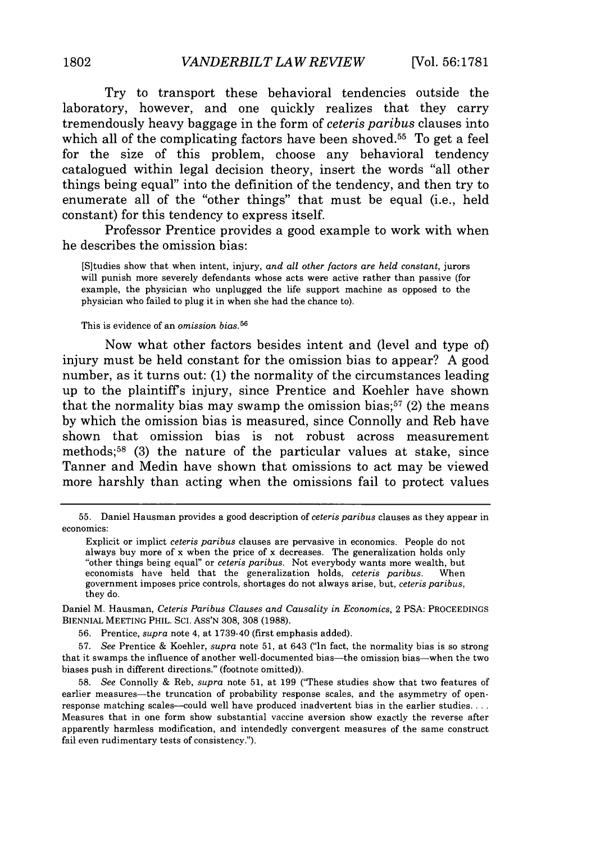Try to transport these behavioral tendencies outside the laboratory, however, and one quickly realizes that they carry tremendously heavy baggage in the form of *ceteris paribus* clauses into which all of the complicating factors have been shoved.<sup>55</sup> To get a feel for the size of this problem, choose any behavioral tendency catalogued within legal decision theory, insert the words "all other things being equal" into the definition of the tendency, and then try to enumerate all of the "other things" that must be equal (i.e., held constant) for this tendency to express itself.

Professor Prentice provides a good example to work with when he describes the omission bias:

[S]tudies show that when intent, injury, *and all other factors are held constant,* jurors will punish more severely defendants whose acts were active rather than passive (for example, the physician who unplugged the life support machine as opposed to the physician who failed to plug it in when she had the chance to).

This is evidence of an *omission bias.56*

Now what other factors besides intent and (level and type of) injury must be held constant for the omission bias to appear? A good number, as it turns out: (1) the normality of the circumstances leading up to the plaintiffs injury, since Prentice and Koehler have shown that the normality bias may swamp the omission bias;<sup>57</sup> (2) the means by which the omission bias is measured, since Connolly and Reb have shown that omission bias is not robust across measurement methods;<sup>58</sup> (3) the nature of the particular values at stake, since Tanner and Medin have shown that omissions to act may be viewed more harshly than acting when the omissions fail to protect values

Daniel M. Hausman, *Ceteris Paribus Clauses and Causality in Economics,* 2 PSA: PROCEEDINGS BIENNIAL MEETING PHIL. SCI. ASS'N 308, 308 (1988).

56. Prentice, *supra* note 4, at 1739-40 (first emphasis added).

57. *See* Prentice & Koehler, *supra* note 51, at 643 ("In fact, the normality bias is so strong that it swamps the influence of another well-documented bias—the omission bias—when the two biases push in different directions." (footnote omitted)).

58. *See* Connolly & Reb, *supra* note 51, at 199 ("These studies show that two features of earlier measures-the truncation of probability response scales, and the asymmetry of openresponse matching scales—could well have produced inadvertent bias in the earlier studies... Measures that in one form show substantial vaccine aversion show exactly the reverse after apparently harmless modification, and intendedly convergent measures of the same construct fail even rudimentary tests of consistency.").

<sup>55.</sup> Daniel Hausman provides a good description of *ceteris paribus* clauses as they appear in economics:

Explicit or implict *ceteris paribus* clauses are pervasive in economics. People do not always buy more of x when the price of x decreases. The generalization holds only "other things being equal" or *ceteris paribus.* Not everybody wants more wealth, but economists have held that the generalization holds, *ceteris paribus.* When government imposes price controls, shortages do not always arise, but, *ceteris paribus,* they do.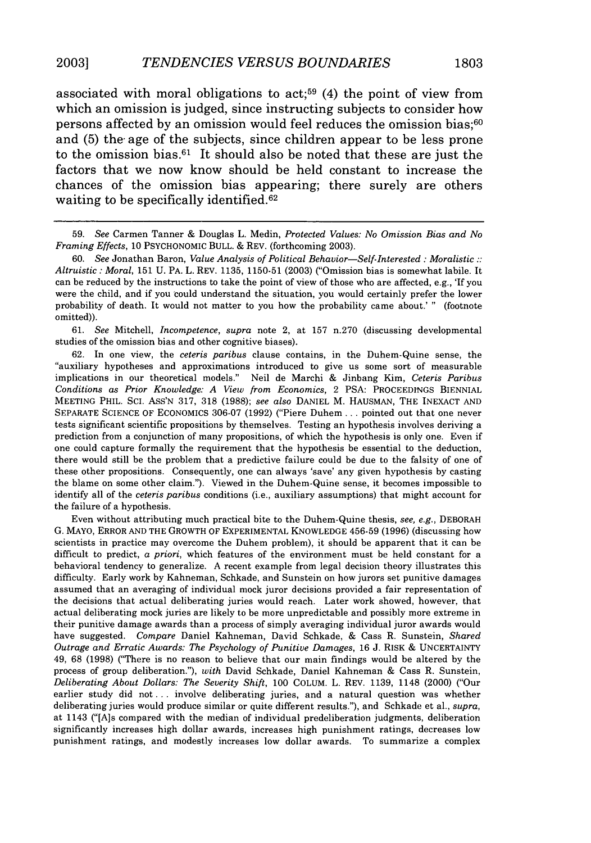associated with moral obligations to act;<sup>59</sup> (4) the point of view from which an omission is judged, since instructing subjects to consider how persons affected **by** an omission would feel reduces the omission bias;60 and (5) the age of the subjects, since children appear to be less prone to the omission bias.61 It should also be noted that these are just the factors that we now know should be held constant to increase the chances of the omission bias appearing; there surely are others waiting to be specifically identified.<sup>62</sup>

60. *See* Jonathan Baron, *Value Analysis of Political Behavior-Self-Interested : Moralistic:: Altruistic* : *Moral,* 151 U. PA. L. REV. 1135, 1150-51 (2003) ("Omission bias is somewhat labile. It can be reduced by the instructions to take the point of view of those who are affected, e.g., *'If* you were the child, and if you could understand the situation, you would certainly prefer the lower probability of death. It would not matter to you how the probability came about.' " (footnote omitted)).

61. *See* Mitchell, *Incompetence, supra* note 2, at 157 n.270 (discussing developmental studies of the omission bias and other cognitive biases).

62. In one view, the *ceteris paribus* clause contains, in the Duhem-Quine sense, the "auxiliary hypotheses and approximations introduced to give us some sort of measurable implications in our theoretical models." Neil de Marchi & Jinbang Kim, *Ceteris Paribus Conditions as Prior Knowledge: A View from Economics,* 2 PSA: PROCEEDINGS BIENNIAL MEETING PHIL. SCI. ASS'N 317, 318 (1988); *see also* DANIEL M. HAUSMAN, THE INEXACT AND SEPARATE SCIENCE OF ECONOMICS 306-07 (1992) ("Piere Duhem... pointed out that one never tests significant scientific propositions by themselves. Testing an hypothesis involves deriving a prediction from a conjunction of many propositions, of which the hypothesis is only one. Even if one could capture formally the requirement that the hypothesis be essential to the deduction, there would still be the problem that a predictive failure could be due to the falsity of one of these other propositions. Consequently, one can always 'save' any given hypothesis by casting the blame on some other claim."). Viewed in the Duhem-Quine sense, it becomes impossible to identify all of the *ceteris paribus* conditions (i.e., auxiliary assumptions) that might account for the failure of a hypothesis.

Even without attributing much practical bite to the Duhem-Quine thesis, *see, e.g.,* DEBORAH G. MAYO, ERROR AND THE GROWTH OF EXPERIMENTAL KNOWLEDGE 456-59 (1996) (discussing how scientists in practice may overcome the Duhem problem), it should be apparent that it can be difficult to predict, *a priori,* which features of the environment must be held constant for a behavioral tendency to generalize. A recent example from legal decision theory illustrates this difficulty. Early work by Kahneman, Schkade, and Sunstein on how jurors set punitive damages assumed that an averaging of individual mock juror decisions provided a fair representation of the decisions that actual deliberating juries would reach. Later work showed, however, that actual deliberating mock juries are likely to be more unpredictable and possibly more extreme in their punitive damage awards than a process of simply averaging individual juror awards would have suggested. *Compare* Daniel Kahneman, David Schkade, & Cass R. Sunstein, *Shared Outrage and Erratic Awards: The Psychology of Punitive Damages,* 16 J. RISK & UNCERTAINTY 49, 68 (1998) ("There is no reason to believe that our main findings would be altered by the process of group deliberation."), *with* David Schkade, Daniel Kahneman & Cass R. Sunstein, *Deliberating About Dollars: The Severity Shift,* 100 COLUM. L. REV. 1139, 1148 (2000) ("Our earlier study did not **...** involve deliberating juries, and a natural question was whether deliberating juries would produce similar or quite different results."), and Schkade et al., *supra,* at 1143 ("[A]s compared with the median of individual predeliberation judgments, deliberation significantly increases high dollar awards, increases high punishment ratings, decreases low punishment ratings, and modestly increases low dollar awards. To summarize a complex

<sup>59.</sup> *See* Carmen Tanner & Douglas L. Medin, *Protected Values: No Omission Bias and No Framing* Effects, 10 PSYCHONOMIC BULL. & REV. (forthcoming 2003).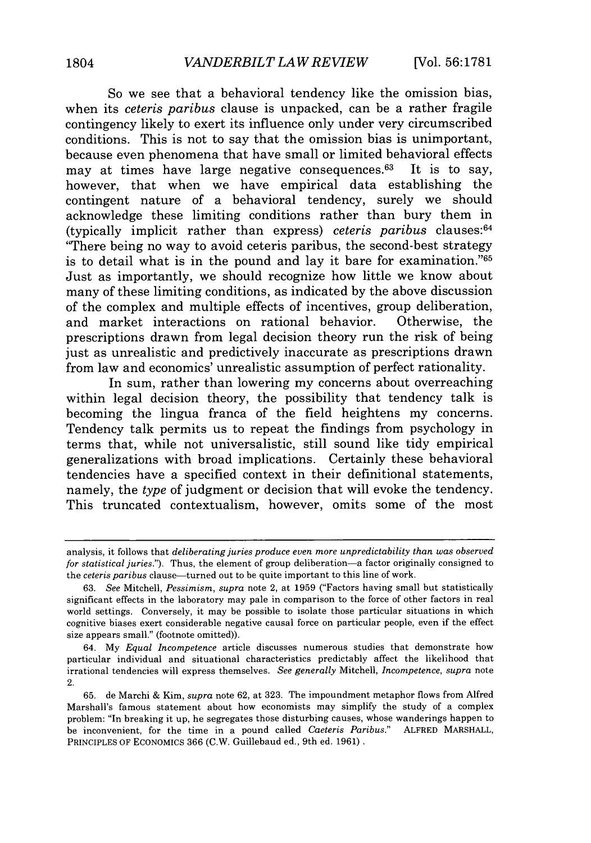So we see that a behavioral tendency like the omission bias, when its *ceteris paribus* clause is unpacked, can be a rather fragile contingency likely to exert its influence only under very circumscribed conditions. This is not to say that the omission bias is unimportant, because even phenomena that have small or limited behavioral effects may at times have large negative consequences. $63$  It is to say, however, that when we have empirical data establishing the contingent nature of a behavioral tendency, surely we should acknowledge these limiting conditions rather than bury them in (typically implicit rather than express) *ceteris paribus* clauses: <sup>64</sup> "There being no way to avoid ceteris paribus, the second-best strategy is to detail what is in the pound and lay it bare for examination." $65$ Just as importantly, we should recognize how little we know about many of these limiting conditions, as indicated by the above discussion of the complex and multiple effects of incentives, group deliberation, and market interactions on rational behavior. Otherwise, the prescriptions drawn from legal decision theory run the risk of being just as unrealistic and predictively inaccurate as prescriptions drawn from law and economics' unrealistic assumption of perfect rationality.

In sum, rather than lowering my concerns about overreaching within legal decision theory, the possibility that tendency talk is becoming the lingua franca of the field heightens my concerns. Tendency talk permits us to repeat the findings from psychology in terms that, while not universalistic, still sound like tidy empirical generalizations with broad implications. Certainly these behavioral tendencies have a specified context in their definitional statements, namely, the *type* of judgment or decision that will evoke the tendency. This truncated contextualism, however, omits some of the most

analysis, it follows that *deliberating juries produce even more unpredictability than was observed for statistical juries."*). Thus, the element of group deliberation—a factor originally consigned to the *ceteris paribus* clause-turned out to be quite important to this line of work.

<sup>63.</sup> *See* Mitchell, *Pessimism, supra* note 2, at 1959 ("Factors having small but statistically significant effects in the laboratory may pale in comparison to the force of other factors in real world settings. Conversely, it may be possible to isolate those particular situations in which cognitive biases exert considerable negative causal force on particular people, even if the effect size appears small." (footnote omitted)).

<sup>64.</sup> My *Equal Incompetence* article discusses numerous studies that demonstrate how particular individual and situational characteristics predictably affect the likelihood that irrational tendencies will express themselves. *See generally* Mitchell, *Incompetence, supra* note 2.

<sup>65.</sup> de Marchi & Kim, *supra* note 62, at 323. The impoundment metaphor flows from Alfred Marshall's famous statement about how economists may simplify the study of a complex problem: "In breaking it up, he segregates those disturbing causes, whose wanderings happen to be inconvenient, for the time in a pound called *Caeteris Paribus."* ALFRED MARSHALL, PRINCIPLES OF ECONOMICS 366 (C.W. Guillebaud ed., 9th ed. 1961).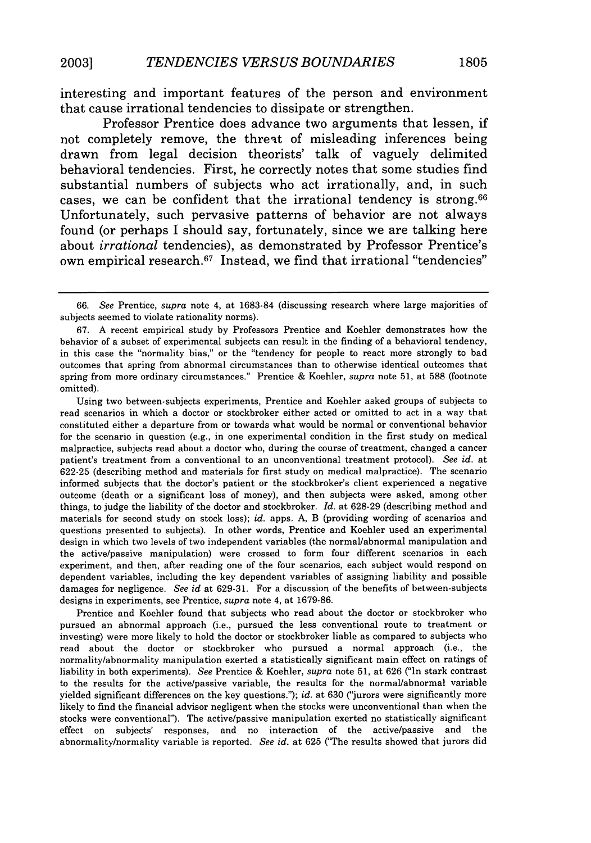interesting and important features of the person and environment that cause irrational tendencies to dissipate or strengthen.

Professor Prentice does advance two arguments that lessen, if not completely remove, the threat of misleading inferences being drawn from legal decision theorists' talk of vaguely delimited behavioral tendencies. First, he correctly notes that some studies find substantial numbers of subjects who act irrationally, and, in such cases, we can be confident that the irrational tendency is strong.<sup>66</sup> Unfortunately, such pervasive patterns of behavior are not always found (or perhaps **I** should say, fortunately, since we are talking here about *irrational* tendencies), as demonstrated **by** Professor Prentice's own empirical research. 67 Instead, we find that irrational "tendencies"

Using two between-subjects experiments, Prentice and Koehler asked groups of subjects to read scenarios in which a doctor or stockbroker either acted or omitted to act in a way that constituted either a departure from or towards what would be normal or conventional behavior for the scenario in question (e.g., in one experimental condition in the first study on medical malpractice, subjects read about a doctor who, during the course of treatment, changed a cancer patient's treatment from a conventional to an unconventional treatment protocol). *See id.* at 622-25 (describing method and materials for first study on medical malpractice). The scenario informed subjects that the doctor's patient or the stockbroker's client experienced a negative outcome (death or a significant loss of money), and then subjects were asked, among other things, to judge the liability of the doctor and stockbroker. *Id.* at 628-29 (describing method and materials for second study on stock loss); *id.* apps. A, B (providing wording of scenarios and questions presented to subjects). In other words, Prentice and Koehler used an experimental design in which two levels of two independent variables (the normal/abnormal manipulation and the active/passive manipulation) were crossed to form four different scenarios in each experiment, and then, after reading one of the four scenarios, each subject would respond on dependent variables, including the key dependent variables of assigning liability and possible damages for negligence. *See id* at 629-31. For a discussion of the benefits of between-subjects designs in experiments, see Prentice, *supra* note 4, at 1679-86.

Prentice and Koehler found that subjects who read about the doctor or stockbroker who pursued an abnormal approach (i.e., pursued the less conventional route to treatment or investing) were more likely to hold the doctor or stockbroker liable as compared to subjects who read about the doctor or stockbroker who pursued a normal approach (i.e., the normality/abnormality manipulation exerted a statistically significant main effect on ratings of liability in both experiments). *See* Prentice & Koehler, *supra* note 51, at 626 ("In stark contrast to the results for the active/passive variable, the results for the normal/abnormal variable yielded significant differences on the key questions."); *id.* at 630 ("jurors were significantly more likely to find the financial advisor negligent when the stocks were unconventional than when the stocks were conventional"). The active/passive manipulation exerted no statistically significant effect on subjects' responses, and no interaction of the active/passive and the abnormality/normality variable is reported. *See id.* at 625 ('The results showed that jurors did

*<sup>66.</sup> See* Prentice, *supra* note 4, at 1683-84 (discussing research where large majorities of subjects seemed to violate rationality norms).

<sup>67.</sup> A recent empirical study by Professors Prentice and Koehler demonstrates how the behavior of a subset of experimental subjects can result in the finding of a behavioral tendency, in this case the "normality bias," or the "tendency for people to react more strongly to bad outcomes that spring from abnormal circumstances than to otherwise identical outcomes that spring from more ordinary circumstances." Prentice & Koehler, *supra* note 51, at 588 (footnote omitted).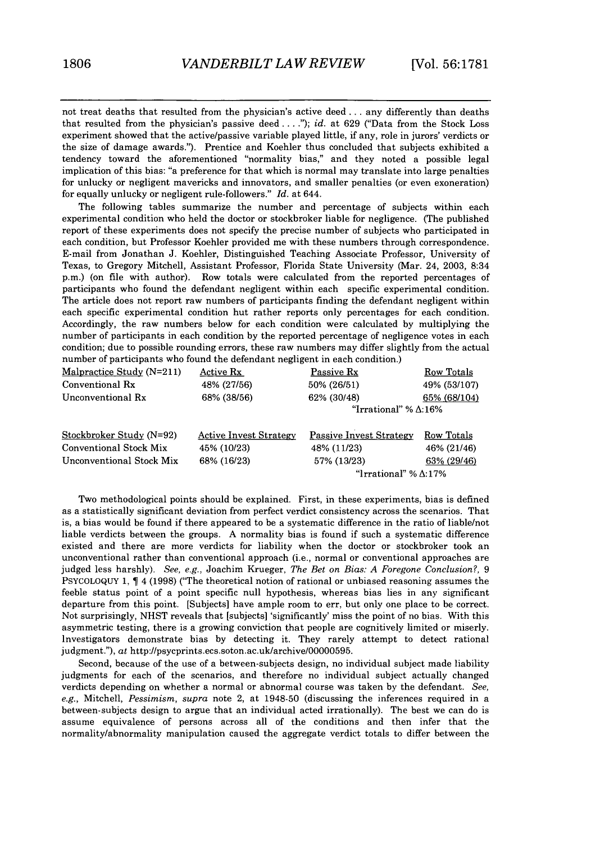not treat deaths that resulted from the physician's active deed **...** any differently than deaths that resulted from the physician's passive deed **.. ");** *id.* at 629 ("Data from the Stock Loss experiment showed that the active/passive variable played little, if any, role in jurors' verdicts or the size of damage awards."). Prentice and Koehler thus concluded that subjects exhibited a tendency toward the aforementioned "normality bias," and they noted a possible legal implication of this bias: "a preference for that which is normal may translate into large penalties for unlucky or negligent mavericks and innovators, and smaller penalties (or even exoneration) for equally unlucky or negligent rule-followers." *Id.* at 644.

The following tables summarize the number and percentage of subjects within each experimental condition who held the doctor or stockbroker liable for negligence. (The published report of these experiments does not specify the precise number of subjects who participated in each condition, but Professor Koehler provided me with these numbers through correspondence. E-mail from Jonathan J. Koehler, Distinguished Teaching Associate Professor, University of Texas, to Gregory Mitchell, Assistant Professor, Florida State University (Mar. 24, 2003, 8:34 p.m.) (on file with author). Row totals were calculated from the reported percentages of participants who found the defendant negligent within each specific experimental condition. The article does not report raw numbers of participants finding the defendant negligent within each specific experimental condition but rather reports only percentages for each condition. Accordingly, the raw numbers below for each condition were calculated by multiplying the number of participants in each condition by the reported percentage of negligence votes in each condition; due to possible rounding errors, these raw numbers may differ slightly from the actual number of participants who found the defendant negligent in each condition.)

| Malpractice Study (N=211) | Active Rx                     | Passive Rx                      | Row Totals                   |  |
|---------------------------|-------------------------------|---------------------------------|------------------------------|--|
| Conventional Rx           | 48% (27/56)                   | 50% (26/51)                     | 49% (53/107)                 |  |
| Unconventional Rx         | 68% (38/56)                   | 62% (30/48)                     | 65% (68/104)                 |  |
|                           |                               | "Irrational" % $\triangle$ :16% |                              |  |
| Stockbroker Study (N=92)  | <b>Active Invest Strategy</b> | <b>Passive Invest Strategy</b>  | Row Totals                   |  |
| Conventional Stock Mix    | 45% (10/23)                   | 48% (11/23)                     | 46% (21/46)                  |  |
| Unconventional Stock Mix  | 68% (16/23)                   | 57% (13/23)                     | 63% (29/46)                  |  |
|                           |                               |                                 | "Irrational" % $\Delta$ :17% |  |

Two methodological points should be explained. First, in these experiments, bias is defined as a statistically significant deviation from perfect verdict consistency across the scenarios. That is, a bias would be found if there appeared to be a systematic difference in the ratio of liable/not liable verdicts between the groups. A normality bias is found if such a systematic difference existed and there are more verdicts for liability when the doctor or stockbroker took an unconventional rather than conventional approach (i.e., normal or conventional approaches are judged less harshly). *See, e.g.,* Joachim Krueger, *The Bet on Bias: A Foregone Conclusion?,* 9 PSYCOLOQUY 1,  $\parallel$  4 (1998) ("The theoretical notion of rational or unbiased reasoning assumes the feeble status point of a point specific null hypothesis, whereas bias lies in any significant departure from this point. [Subjects] have ample room to err, but only one place to be correct. Not surprisingly, NHST reveals that [subjects] 'significantly' miss the point of no bias. With this asymmetric testing, there is a growing conviction that people are cognitively limited or miserly. Investigators demonstrate bias by detecting it. They rarely attempt to detect rational judgment."), at http://psycprints.ecs.soton.ac.uk/archive/00000595.

Second, because of the use of a between-subjects design, no individual subject made liability judgments for each of the scenarios, and therefore no individual subject actually changed verdicts depending on whether a normal or abnormal course was taken by the defendant. *See,* e.g., Mitchell, *Pessimism, supra* note 2, at 1948-50 (discussing the inferences required in a between-subjects design to argue that an individual acted irrationally). The best we can do is assume equivalence of persons across all of the conditions and then infer that the normality/abnormality manipulation caused the aggregate verdict totals to differ between the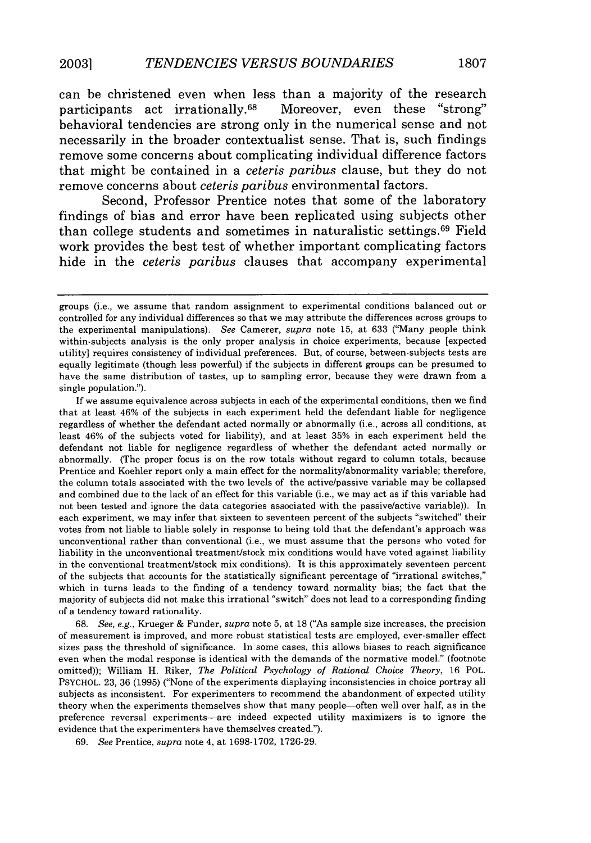can be christened even when less than a majority of the research<br>participants act irrationally.<sup>68</sup> Moreover, even these "strong" Moreover, even these "strong" behavioral tendencies are strong only in the numerical sense and not necessarily in the broader contextualist sense. That **is,** such findings remove some concerns about complicating individual difference factors that might be contained in a *ceteris paribus* clause, but they do not remove concerns about *ceteris paribus* environmental factors.

Second, Professor Prentice notes that some of the laboratory findings of bias and error have been replicated using subjects other than college students and sometimes in naturalistic settings. 69 Field work provides the best test of whether important complicating factors hide in the *ceteris paribus* clauses that accompany experimental

If we assume equivalence across subjects in each of the experimental conditions, then we find that at least 46% of the subjects in each experiment held the defendant liable for negligence regardless of whether the defendant acted normally or abnormally (i.e., across all conditions, at least 46% of the subjects voted for liability), and at least 35% in each experiment held the defendant not liable for negligence regardless of whether the defendant acted normally or abnormally. (The proper focus is on the row totals without regard to column totals, because Prentice and Koehler report only a main effect for the normality/abnormality variable; therefore, the column totals associated with the two levels of the active/passive variable may be collapsed and combined due to the lack of an effect for this variable (i.e., we may act as if this variable had not been tested and ignore the data categories associated with the passive/active variable)). In each experiment, we may infer that sixteen to seventeen percent of the subjects "switched" their votes from not liable to liable solely in response to being told that the defendant's approach was unconventional rather than conventional (i.e., we must assume that the persons who voted for liability in the unconventional treatment/stock mix conditions would have voted against liability in the conventional treatment/stock mix conditions). It is this approximately seventeen percent of the subjects that accounts for the statistically significant percentage of "irrational switches," which in turns leads to the finding of a tendency toward normality bias; the fact that the majority of subjects did not make this irrational "switch" does not lead to a corresponding finding of a tendency toward rationality.

68. *See, e.g.,* Krueger & Funder, *supra* note 5, at 18 ("As sample size increases, the precision of measurement is improved, and more robust statistical tests are employed, ever-smaller effect sizes pass the threshold of significance. In some cases, this allows biases to reach significance even when the modal response is identical with the demands of the normative model." (footnote omitted)); William H. Riker, *The Political Psychology of Rational Choice Theory,* 16 POL. PSYCHOL. 23, 36 (1995) ("None of the experiments displaying inconsistencies in choice portray all subjects as inconsistent. For experimenters to recommend the abandonment of expected utility theory when the experiments themselves show that many people-often well over half, as in the preference reversal experiments-are indeed expected utility maximizers is to ignore the evidence that the experimenters have themselves created.").

69. *See* Prentice, *supra* note 4, at 1698-1702, 1726-29.

groups (i.e., we assume that random assignment to experimental conditions balanced out or controlled for any individual differences so that we may attribute the differences across groups to the experimental manipulations). *See* Camerer, *supra* note 15, at 633 ('Many people think within-subjects analysis is the only proper analysis in choice experiments, because [expected utility] requires consistency of individual preferences. But, of course, between-subjects tests are equally legitimate (though less powerful) if the subjects in different groups can be presumed to have the same distribution of tastes, up to sampling error, because they were drawn from a single population.").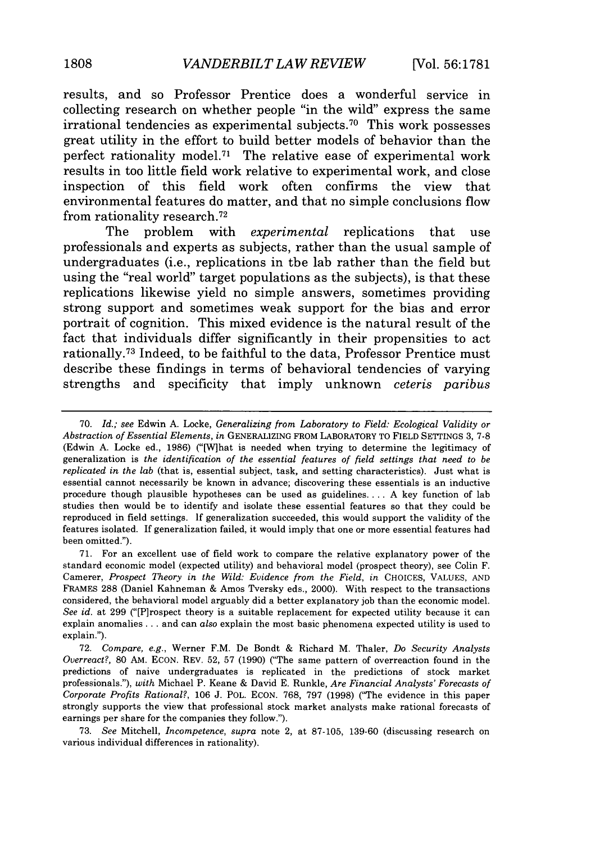results, and so Professor Prentice does a wonderful service in collecting research on whether people "in the wild" express the same irrational tendencies as experimental subjects. 70 This work possesses great utility in the effort to build better models of behavior than the perfect rationality model.71 The relative ease of experimental work results in too little field work relative to experimental work, and close inspection of this field work often confirms the view that environmental features do matter, and that no simple conclusions flow from rationality research. <sup>72</sup>

The problem with *experimental* replications that use professionals and experts as subjects, rather than the usual sample of undergraduates (i.e., replications in the lab rather than the field but using the "real world" target populations as the subjects), is that these replications likewise yield no simple answers, sometimes providing strong support and sometimes weak support for the bias and error portrait of cognition. This mixed evidence is the natural result of the fact that individuals differ significantly in their propensities to act rationally. 73 Indeed, to be faithful to the data, Professor Prentice must describe these findings in terms of behavioral tendencies of varying strengths and specificity that imply unknown *ceteris paribus*

71. For an excellent use of field work to compare the relative explanatory power of the standard economic model (expected utility) and behavioral model (prospect theory), see Colin F. Camerer, *Prospect Theory in the Wild: Evidence from the Field, in CHOICES, VALUES, AND* FRAMES 288 (Daniel Kahneman & Amos Tversky eds., 2000). With respect to the transactions considered, the behavioral model arguably did a better explanatory job than the economic model. *See id.* at 299 ("[P]rospect theory is a suitable replacement for expected utility because it can explain anomalies.. **.** and can *also* explain the most basic phenomena expected utility is used to explain.").

73. *See* Mitchell, *Incompetence, supra* note 2, at 87-105, 139-60 (discussing research on various individual differences in rationality).

<sup>70.</sup> *Id.; see* Edwin A. Locke, *Generalizing from Laboratory to Field: Ecological Validity or Abstraction of Essential Elements, in* GENERALIZING FROM LABORATORY TO FIELD SETTINGS 3, 7-8 (Edwin A. Locke ed., 1986) ("[Wlhat is needed when trying to determine the legitimacy of generalization is *the identification of the essential features of field settings that need to be replicated in the lab* (that is, essential subject, task, and setting characteristics). Just what is essential cannot necessarily be known in advance; discovering these essentials is an inductive procedure though plausible hypotheses can be used as guidelines .... A key function of lab studies then would be to identify and isolate these essential features so that they could be reproduced in field settings. If generalization succeeded, this would support the validity of the features isolated. If generalization failed, it would imply that one or more essential features had been omitted.").

<sup>72.</sup> *Compare, e.g.,* Werner F.M. De Bondt & Richard M. Thaler, *Do Security Analysts Overreact?,* 80 AM. ECON. REV. 52, 57 (1990) ("The same pattern of overreaction found in the predictions of naive undergraduates is replicated in the predictions of stock market professionals."), *with* Michael P. Keane & David E. Runkle, *Are Financial Analysts' Forecasts of Corporate Profits Rational?,* 106 J. POL. ECON. 768, 797 (1998) ("The evidence in this paper strongly supports the view that professional stock market analysts make rational forecasts of earnings per share for the companies they follow.").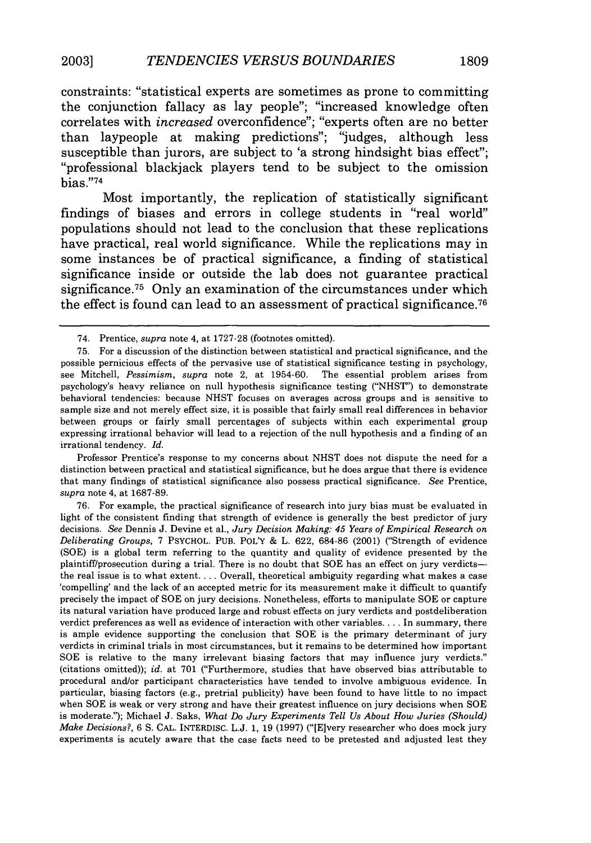constraints: "statistical experts are sometimes as prone to committing the conjunction fallacy as lay people"; "increased knowledge often correlates with *increased* overconfidence"; "experts often are no better than laypeople at making predictions"; "judges, although less susceptible than jurors, are subject to 'a strong hindsight bias effect"; "professional blackjack players tend to be subject to the omission bias."74

Most importantly, the replication of statistically significant findings of biases and errors in college students in "real world" populations should not lead to the conclusion that these replications have practical, real world significance. While the replications may in some instances be of practical significance, a finding of statistical significance inside or outside the lab does not guarantee practical significance.<sup>75</sup> Only an examination of the circumstances under which the effect is found can lead to an assessment of practical significance. <sup>76</sup>

Professor Prentice's response to my concerns about NHST does not dispute the need for a distinction between practical and statistical significance, but he does argue that there is evidence that many findings of statistical significance also possess practical significance. *See* Prentice, *supra* note 4, at 1687-89.

<sup>74.</sup> Prentice, *supra* note 4, at 1727-28 (footnotes omitted).

<sup>75.</sup> For a discussion of the distinction between statistical and practical significance, and the possible pernicious effects of the pervasive use of statistical significance testing in psychology, see Mitchell, *Pessimism, supra* note 2, at 1954-60. The essential problem arises from psychology's heavy reliance on null hypothesis significance testing ("NHST') to demonstrate behavioral tendencies: because NHST focuses on averages across groups and is sensitive to sample size and not merely effect size, it is possible that fairly small real differences in behavior between groups or fairly small percentages of subjects within each experimental group expressing irrational behavior will lead to a rejection of the null hypothesis and a finding of an irrational tendency. *Id.*

<sup>76.</sup> For example, the practical significance of research into jury bias must be evaluated in light of the consistent finding that strength of evidence is generally the best predictor of jury decisions. *See* Dennis J. Devine et al., *Jury Decision Making: 45 Years of Empirical Research on Deliberating Groups,* 7 PSYCHOL. PUB. POL'Y & L. 622, 684-86 (2001) ("Strength of evidence (SOE) is a global term referring to the quantity and quality of evidence presented by the plaintiff/prosecution during a trial. There is no doubt that SOE has an effect on jury verdictsthe real issue is to what extent.... Overall, theoretical ambiguity regarding what makes a case 'compelling' and the lack of an accepted metric for its measurement make it difficult to quantify precisely the impact of SOE on jury decisions. Nonetheless, efforts to manipulate **SOE** or capture its natural variation have produced large and robust effects on jury verdicts and postdeliberation verdict preferences as well as evidence of interaction with other variables **....** In summary, there is ample evidence supporting the conclusion that SOE is the primary determinant of jury verdicts in criminal trials in most circumstances, but it remains to be determined how important SOE is relative to the many irrelevant biasing factors that may influence jury verdicts." (citations omitted)); *id.* at 701 ("Furthermore, studies that have observed bias attributable to procedural and/or participant characteristics have tended to involve ambiguous evidence. In particular, biasing factors (e.g., pretrial publicity) have been found to have little to no impact when SOE is weak or very strong and have their greatest influence on jury decisions when SOE is moderate."); Michael J. Saks, *What Do Jury Experiments Tell Us About How Juries (Should) Make Decisions?,* 6 **S.** CAL. INTERDISC. L.J. 1, 19 (1997) ("[Elvery researcher who does mock jury experiments is acutely aware that the case facts need to be pretested and adjusted lest they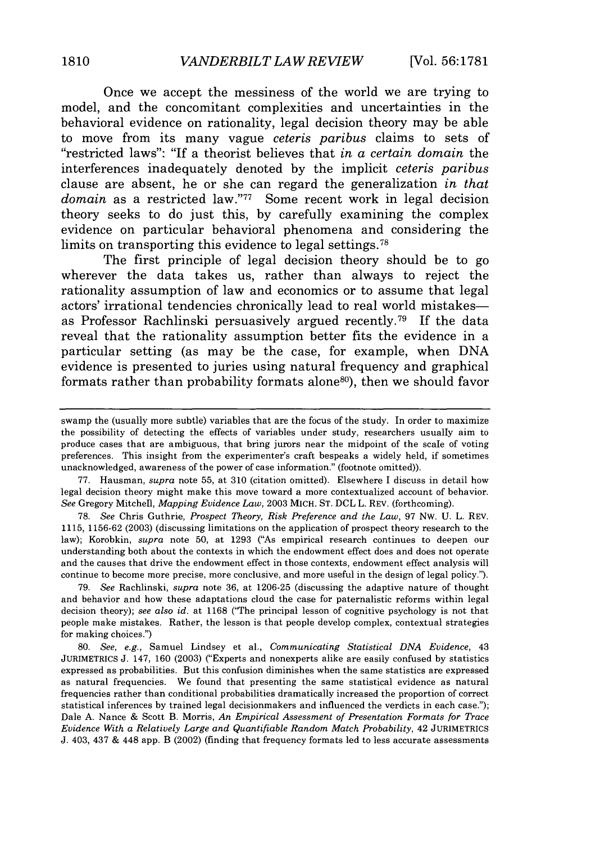Once we accept the messiness of the world we are trying to model, and the concomitant complexities and uncertainties in the behavioral evidence on rationality, legal decision theory may be able to move from its many vague *ceteris paribus* claims to sets of "restricted laws": "If a theorist believes that *in a certain domain* the interferences inadequately denoted by the implicit *ceteris paribus* clause are absent, he or she can regard the generalization *in that domain* as a restricted law."77 Some recent work in legal decision theory seeks to do just this, by carefully examining the complex evidence on particular behavioral phenomena and considering the limits on transporting this evidence to legal settings.<sup>78</sup>

The first principle of legal decision theory should be to go wherever the data takes us, rather than always to reject the rationality assumption of law and economics or to assume that legal actors' irrational tendencies chronically lead to real world mistakesas Professor Rachlinski persuasively argued recently. 79 If the data reveal that the rationality assumption better fits the evidence in a particular setting (as may be the case, for example, when DNA evidence is presented to juries using natural frequency and graphical formats rather than probability formats alone80), then we should favor

77. Hausman, *supra* note 55, at 310 (citation omitted). Elsewhere I discuss in detail how legal decision theory might make this move toward a more contextualized account of behavior. *See* Gregory Mitchell, *Mapping Evidence Law,* 2003 MICH. ST. DCL L. REV. (forthcoming).

**78.** *See* Chris Guthrie, *Prospect Theory, Risk Preference and the Law,* 97 Nw. U. L. REV. 1115, 1156-62 (2003) (discussing limitations on the application of prospect theory research to the law); Korobkin, *supra* note 50, at 1293 ("As empirical research continues to deepen our understanding both about the contexts in which the endowment effect does and does not operate and the causes that drive the endowment effect in those contexts, endowment effect analysis will continue to become more precise, more conclusive, and more useful in the design of legal policy.").

79. *See* Rachlinski, *supra* note 36, at 1206-25 (discussing the adaptive nature of thought and behavior and how these adaptations cloud the case for paternalistic reforms within legal decision theory); *see also id.* at 1168 ("The principal lesson of cognitive psychology is not that people make mistakes. Rather, the lesson is that people develop complex, contextual strategies for making choices.")

80. *See, e.g.,* Samuel Lindsey et al., *Communicating Statistical DNA Evidence,* 43 JURIMETRICS J. 147, 160 (2003) ("Experts and nonexperts alike are easily confused by statistics expressed as probabilities. But this confusion diminishes when the same statistics are expressed as natural frequencies. We found that presenting the same statistical evidence as natural frequencies rather than conditional probabilities dramatically increased the proportion of correct statistical inferences by trained legal decisionmakers and influenced the verdicts in each case."); Dale A. Nance & Scott B. Morris, *An Empirical Assessment of Presentation Formats for Trace Evidence With a Relatively Large and Quantifiable Random Match Probability, 42 JURIMETRICS* J. 403, 437 & 448 app. B (2002) (finding that frequency formats led to less accurate assessments

swamp the (usually more subtle) variables that are the focus of the study. In order to maximize the possibility of detecting the effects of variables under study, researchers usually aim to produce cases that are ambiguous, that bring jurors near the midpoint of the scale of voting preferences. This insight from the experimenter's craft bespeaks a widely held, if sometimes unacknowledged, awareness of the power of case information." (footnote omitted)).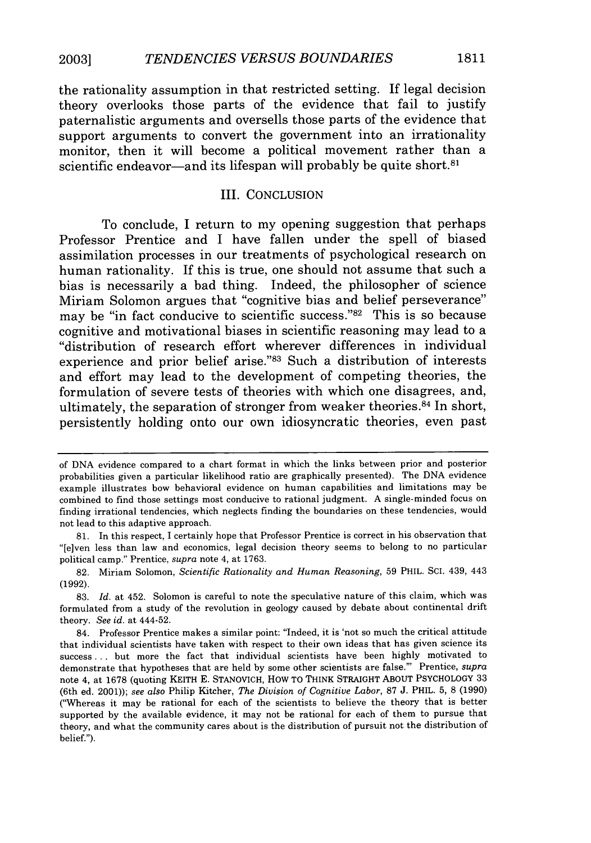the rationality assumption in that restricted setting. If legal decision theory overlooks those parts of the evidence that fail to justify paternalistic arguments and oversells those parts of the evidence that support arguments to convert the government into an irrationality monitor, then it will become a political movement rather than a scientific endeavor—and its lifespan will probably be quite short.<sup>81</sup>

#### III. CONCLUSION

To conclude, I return to my opening suggestion that perhaps Professor Prentice and I have fallen under the spell of biased assimilation processes in our treatments of psychological research on human rationality. If this is true, one should not assume that such a bias is necessarily a bad thing. Indeed, the philosopher of science Miriam Solomon argues that "cognitive bias and belief perseverance" may be "in fact conducive to scientific success."<sup>82</sup> This is so because cognitive and motivational biases in scientific reasoning may lead to a "distribution of research effort wherever differences in individual experience and prior belief arise."<sup>83</sup> Such a distribution of interests and effort may lead to the development of competing theories, the formulation of severe tests of theories with which one disagrees, and, ultimately, the separation of stronger from weaker theories.<sup>84</sup> In short, persistently holding onto our own idiosyncratic theories, even past

of DNA evidence compared to a chart format in which the links between prior and posterior probabilities given a particular likelihood ratio are graphically presented). The DNA evidence example illustrates how behavioral evidence on human capabilities and limitations may be combined to find those settings most conducive to rational judgment. A single-minded focus on finding irrational tendencies, which neglects finding the boundaries on these tendencies, would not lead to this adaptive approach.

<sup>81.</sup> In this respect, I certainly hope that Professor Prentice is correct in his observation that "[e]ven less than law and economics, legal decision theory seems to belong to no particular political camp." Prentice, *supra* note 4, at 1763.

<sup>82.</sup> Miriam Solomon, *Scientific Rationality and Human Reasoning,* 59 PHIL. SCI. 439, 443 (1992).

<sup>83.</sup> *Id.* at 452. Solomon is careful to note the speculative nature of this claim, which was formulated from a study of the revolution in geology caused by debate about continental drift theory. *See id.* at 444-52.

<sup>84.</sup> Professor Prentice makes a similar point: "Indeed, it is 'not so much the critical attitude that individual scientists have taken with respect to their own ideas that has given science its success **...** but more the fact that individual scientists have been highly motivated to demonstrate that hypotheses that are held by some other scientists are false."' Prentice, *supra* note 4, at 1678 (quoting KEITH E. STANOVICH, HOW TO THINK STRAIGHT ABOUT PSYCHOLOGY 33 (6th ed. 2001)); *see also* Philip Kitcher, *The Division of Cognitive Labor,* 87 J. PHIL. 5, 8 (1990) ("Whereas it may be rational for each of the scientists to believe the theory that is better supported by the available evidence, it may not be rational for each of them to pursue that theory, and what the community cares about is the distribution of pursuit not the distribution of belief.").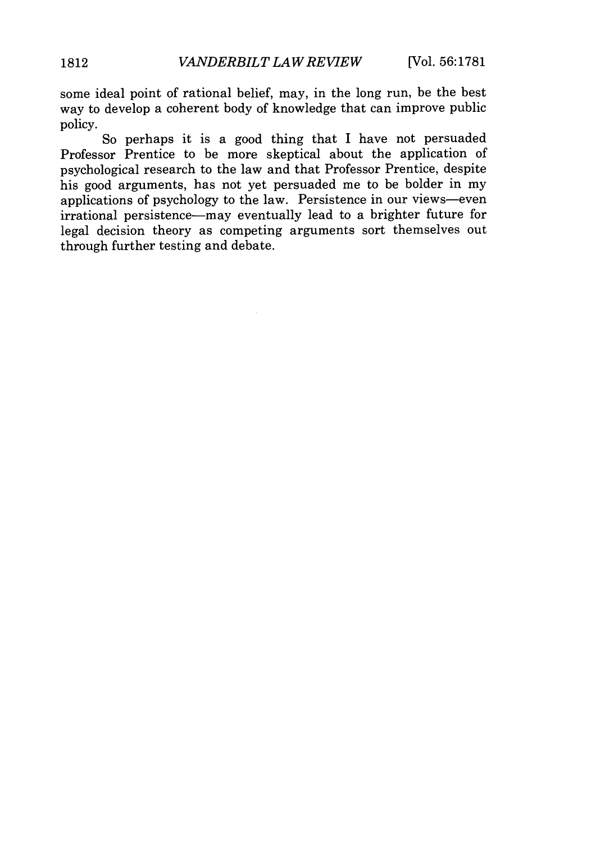some ideal point of rational belief, may, in the long run, be the best way to develop a coherent body of knowledge that can improve public policy.

So perhaps it is a good thing that I have not persuaded Professor Prentice to be more skeptical about the application of psychological research to the law and that Professor Prentice, despite his good arguments, has not yet persuaded me to be bolder in my applications of psychology to the law. Persistence in our views-even irrational persistence-may eventually lead to a brighter future for legal decision theory as competing arguments sort themselves out through further testing and debate.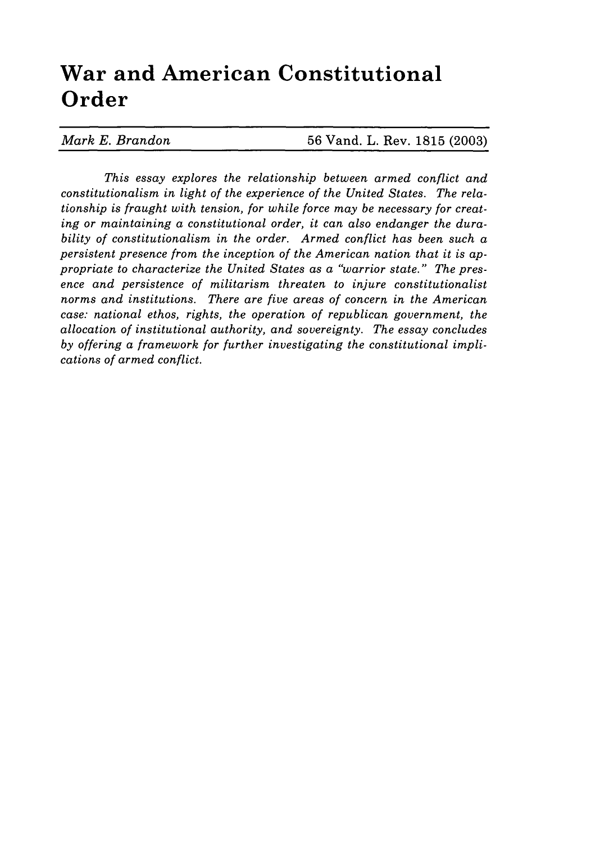## **War and American Constitutional Order**

*This essay explores the relationship between armed conflict and constitutionalism in light of the experience of the United States. The relationship is fraught with tension, for while force may be necessary for creating or maintaining a constitutional order, it can also endanger the durability of constitutionalism in the order. Armed conflict has been such a persistent presence from the inception of the American nation that it is appropriate to characterize the United States as a "warrior state." The presence and persistence of militarism threaten to injure constitutionalist norms and institutions. There are five areas of concern in the American case: national ethos, rights, the operation of republican government, the allocation of institutional authority, and sovereignty. The essay concludes by offering a framework for further investigating the constitutional implications of armed conflict.*